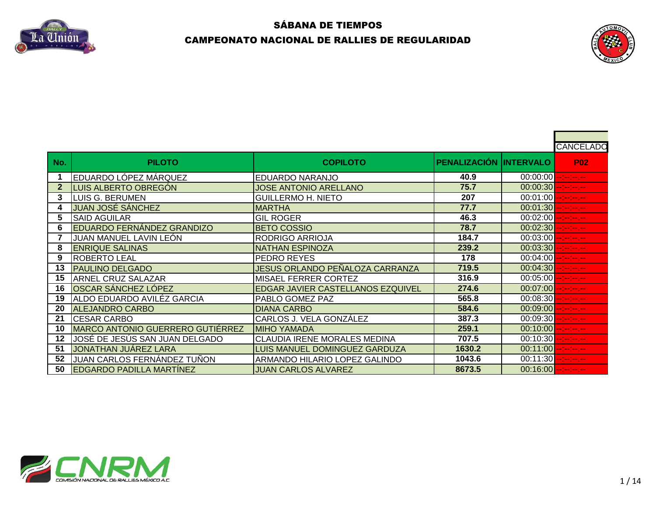



|     |                                   |                                     |                        |                         | CANCELADO                   |
|-----|-----------------------------------|-------------------------------------|------------------------|-------------------------|-----------------------------|
| No. | <b>PILOTO</b>                     | <b>COPILOTO</b>                     | PENALIZACIÓN INTERVALO |                         | <b>P02</b>                  |
|     | EDUARDO LÓPEZ MÁRQUEZ             | EDUARDO NARANJO                     | 40.9                   | $00:00:00$ $-1-1-1-1-1$ |                             |
| 2   | LUIS ALBERTO OBREGÓN              | JOSE ANTONIO ARELLANO               | 75.7                   | 00:00:30                | -- -- <mark>-- -- --</mark> |
| 3   | <b>LUIS G. BERUMEN</b>            | <b>GUILLERMO H. NIETO</b>           | 207                    | 00:01:00                | $\sim 100$ and $\sim 100$   |
|     | JUAN JOSÉ SÁNCHEZ                 | <b>MARTHA</b>                       | 77.7                   | $00:01:30$ $   -$       |                             |
| 5   | <b>SAID AGUILAR</b>               | <b>GIL ROGER</b>                    | 46.3                   | 00:02:00                |                             |
| 6   | <b>EDUARDO FERNÁNDEZ GRANDIZO</b> | <b>BETO COSSIO</b>                  | 78.7                   | $00:02:30$ ------       |                             |
|     | JUAN MANUEL LAVIN LEÓN            | RODRIGO ARRIOJA                     | 184.7                  | $00:03:00$ $-1-1-1-1$   |                             |
| 8   | <b>ENRIQUE SALINAS</b>            | <b>NATHAN ESPINOZA</b>              | 239.2                  | $00:03:30$ $-:-:--$     |                             |
| 9   | <b>ROBERTO LEAL</b>               | PEDRO REYES                         | 178                    | $00:04:00$ $-1-1-1-1$   |                             |
| 13  | <b>PAULINO DELGADO</b>            | JESUS ORLANDO PEÑALOZA CARRANZA     | 719.5                  | $00:04:30$ --------     |                             |
| 15  | <b>ARNEL CRUZ SALAZAR</b>         | <b>MISAEL FERRER CORTEZ</b>         | 316.9                  | $00:05:00$ --------     |                             |
| 16  | <b>OSCAR SÁNCHEZ LÓPEZ</b>        | EDGAR JAVIER CASTELLANOS EZQUIVEL   | 274.6                  | 00:07:00                | ومراجع ومراجع               |
| 19  | ALDO EDUARDO AVILÉZ GARCIA        | PABLO GOMEZ PAZ                     | 565.8                  | 00:08:30                | --1-1-1-1-                  |
| 20  | <b>ALEJANDRO CARBO</b>            | <b>DIANA CARBO</b>                  | 584.6                  | 00:09:00                | --1-1-1-1-                  |
| 21  | <b>CESAR CARBO</b>                | <b> CARLOS J. VELA GONZÁLEZ</b>     | 387.3                  | $00:09:30$ $-1-1-1-1-1$ |                             |
| 10  | MARCO ANTONIO GUERRERO GUTIÉRREZ  | IMIHO YAMADA                        | 259.1                  | 00:10:00                | aalaalaa jar                |
| 12  | JOSÉ DE JESÚS SAN JUAN DELGADO    | <b>CLAUDIA IRENE MORALES MEDINA</b> | 707.5                  | 00:10:30                | مسرمين مبارسة               |
| 51  | JONATHAN JUÁREZ LARA              | LUIS MANUEL DOMINGUEZ GARDUZA       | 1630.2                 | 00:11:00                | المعرضة إحدامه              |
| 52  | JUAN CARLOS FERNÁNDEZ TUÑON       | ARMANDO HILARIO LOPEZ GALINDO       | 1043.6                 | $00:11:30$ $-:-:--$     |                             |
| 50  | <b>EDGARDO PADILLA MARTÍNEZ</b>   | <b>JUAN CARLOS ALVAREZ</b>          | 8673.5                 | $00:16:00$ -------      |                             |

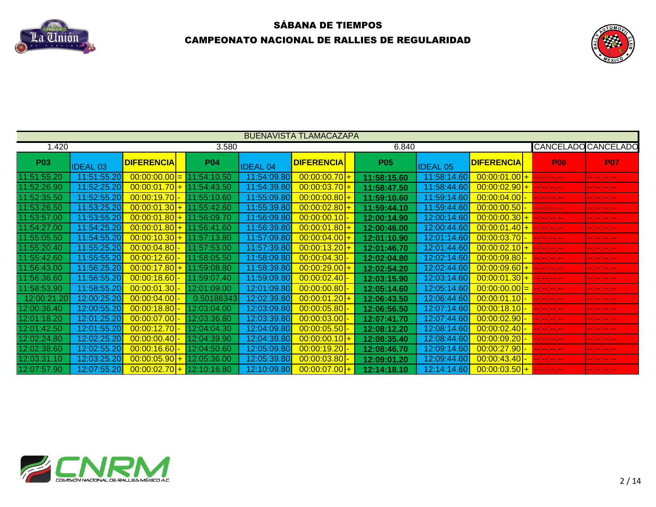



|             |                 |                            |             |                 | <b>BUENAVISTA TLAMACAZAPA</b> |             |                 |                   |                    |                            |
|-------------|-----------------|----------------------------|-------------|-----------------|-------------------------------|-------------|-----------------|-------------------|--------------------|----------------------------|
| 1.420       |                 |                            | 3.580       |                 |                               | 6.840       |                 |                   |                    | <b>CANCELADO CANCELADO</b> |
| <b>P03</b>  | <b>IDEAL 03</b> | <b>DIFERENCIA</b>          | <b>P04</b>  | <b>IDEAL 04</b> | <b>DIFERENCIA</b>             | <b>P05</b>  | <b>IDEAL 05</b> | <b>DIFERENCIA</b> | <b>P06</b>         | <b>P07</b>                 |
| 1:51:55.20  | 11:51:55.20     | $00:00:00.00 =$            | 11:54:10.50 | 11:54:09.80     | $00:00:00.70$ +               | 11:58:15.60 | 11:58:14.60     | $00:00:01.00$ +   | <u>an ing pag</u>  | مسرمين مستمي               |
| 1:52:26.90  | 11:52:25.20     | $00:00:01.70$ <del>+</del> | 11:54:43.50 | 11:54:39.80     | $00:00:03.70$ +               | 11:58:47.50 | 11:58:44.60     | $00:00:02.90$ +   | en jarojan jaro    | المسرمين مسارمين           |
| 1:52:35.50  | 11:52:55.20     | 00:00:19.70                | 11:55:10.60 | 11:55:09.80     | $00:00:00.80$ +               | 11:59:10.60 | 11:59:14.60     | $00:00:04.00$ -   | <u>an belevise</u> | المعرضة إحداده             |
| 1:53:26.50  | 11:53:25.20     | $00:00:01.30$ +            | 11:55:42.60 | 11:55:39.80     | $00:00:02.80$ +               | 11:59:44.10 | 11:59:44.60     | $00:00:00.50$ -   | entre les esp      | eeleeleejee                |
| 1:53:57.00  | 11:53:55.20     | $00:00:01.80$ +            | 11:56:09.70 | 11:56:09.80     | [00:00:00.10]                 | 12:00:14.90 | 12:00:14.60     | $00:00:00.30$ +   | er en en en        | --1--1--                   |
| 1:54:27.00  | 11:54:25.20     | $00:00:01.80$ +            | 11:56:41.60 | 11:56:39.80     | $00:00:01.80$ +               | 12:00:46.00 | 12:00:44.60     | $00:00:01.40$ +   |                    | eeleelee jaa               |
| 1:55:05.50  | 11:54:55.20     | $00:00:10.30$ +            | 11:57:13.80 | 11:57:09.80     | $00:00:04.00$ +               | 12:01:10.90 | 12:01:14.60     | $00:00:03.70$ -   | <u>e e e e</u>     | eeleelee jaa               |
| 1:55:20.40  | 11:55:25.20     | 00:00:04.80                | 11:57:53.00 | 11:57:39.80     | $00:00:13.20$ +               | 12:01:46.70 | 12:01:44.60     | $00:00:02.10$ +   | <u>a ba</u> ra a y | مسرمين مسترمي              |
| 1:55:42.60  | 11:55:55.20     | 00:00:12.60                | 11:58:05.50 | 11:58:09.80     | $00:00:04.30$ -               | 12:02:04.80 | 12:02:14.60     | $00:00:09.80$ -   | --1-1-1-1          | eeleelee je                |
| 1:56:43.00  | 11:56:25.20     | $00:00:17.80$ +            | 11:59:08.80 | 11:58:39.80     | $00:00:29.00$ +               | 12:02:54.20 | 12:02:44.60     | $00:00:09.60$ +   | an an Ingles       | en jarojan jaro            |
| 1:56:36.60  | 11:56:55.20     | 00:00:18.60                | 11:59:07.40 | 11:59:09.80     | 00:00:02.40                   | 12:03:15.90 | 12:03:14.60     | $00:00:01.30$ +   | en jarojan jaro    | eeles estes                |
| 1:58:53.90  | 11:58:55.20     | 00:00:01.30                | 12:01:09.00 | 12:01:09.80     | 00:00:00.80                   | 12:05:14.60 | 12:05:14.60     | $ 00:00:00.00 $ = | an an Ingles       | -- -- -- -- <sub>-</sub>   |
| 12:00:21.20 | 12:00:25.20     | 00:00:04.00                | 0.50186343  | 12:02:39.80     | $00:00:01.20$ +               | 12:06:43.50 | 12:06:44.60     | $[00:00:01.10]$ - | er en en en        | المعرضة إحدامه             |
| 2:00:36.40  | 12:00:55.20     | 00:00:18.80                | 12:03:04.00 | 12:03:09.80     | 00:00:05.80                   | 12:06:56.50 | 12:07:14.60     | $00:00:18.10$ -   | erjen en en        | eeleelee je                |
| 2:01:18.20  | 12:01:25.20     | 00:00:07.00                | 12:03:36.80 | 12:03:39.80     | [00:00:03.00]                 | 12:07:41.70 | 12:07:44.60     | $00:00:02.90$ -   | Alban ay           | er er er er                |
| 2:01:42.50  | 12:01:55.20     | 00:00:12.70                | 12:04:04.30 | 12:04:09.80     | 00:00:05.50                   | 12:08:12.20 | 12:08:14.60     | $00:00:02.40$ -   | <u>e e e e</u>     | -- -- -- --                |
| 2:02:24.80  | 12:02:25.20     | 00:00:00.40                | 12:04:39.90 | 12:04:39.80     | $00:00:00.10$ +               | 12:08:35.40 | 12:08:44.60     | 00:00:09.20 -     |                    | -- <mark>-- -</mark> -- -- |
| 12:02:38.60 | 12:02:55.20     | 00:00:16.60                | 12:04:50.60 | 12:05:09.80     | 00:00:19.20                   | 12:08:46.70 | 12:09:14.60     | $ 00:00:27.90 $ - | --1-1-1-1          | eeleelee je                |
| 2:03:31.10  | 12:03:25.20     | $00:00:05.90$ +            | 12:05:36.00 | 12:05:39.80     | 00:00:03.80                   | 12:09:01.20 | 12:09:44.60     | $[00:00:43.40]$ - | <u>  Ernstein</u>  | en jarojan jaro            |
| 2:07:57.90  | 12:07:55.20     | $00:00:02.70$ +            | 12:10:16.80 | 12:10:09.80     | $00:00:07.00$ +               | 12:14:18.10 | 12:14:14.60     | $00:00:03.50$ +   | <u> Elektronic</u> | eeles este                 |

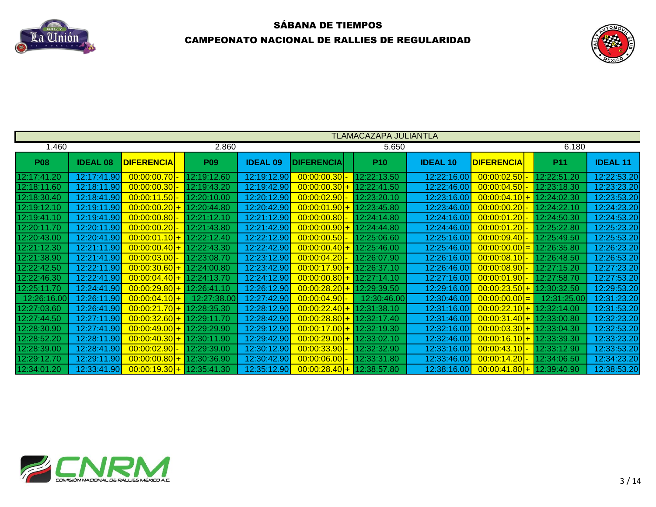



|             |                 |                             |             |                 |                             | <b>TLAMACAZAPA JULIANTLA</b> |                 |                   |             |                 |
|-------------|-----------------|-----------------------------|-------------|-----------------|-----------------------------|------------------------------|-----------------|-------------------|-------------|-----------------|
| 1.460       |                 |                             | 2.860       |                 |                             | 5.650                        |                 |                   | 6.180       |                 |
| <b>P08</b>  | <b>IDEAL 08</b> | <b>DIFERENCIA</b>           | <b>P09</b>  | <b>IDEAL 09</b> | <b>DIFERENCIA</b>           | <b>P10</b>                   | <b>IDEAL 10</b> | <b>DIFERENCIA</b> | <b>P11</b>  | <b>IDEAL 11</b> |
| 12:17:41.20 | 12:17:41.90     | $00:00:00.70$ -             | 12:19:12.60 | 12:19:12.90     | $00:00:00.30$ -             | 12:22:13.50                  | 12:22:16.00     | $00:00:02.50$ -   | 12:22:51.20 | 12:22:53.20     |
| 12:18:11.60 | 12:18:11.90     | $00:00:00.30$ -             | 12:19:43.20 | 12:19:42.90     | $00:00:00.30$ +             | 12:22:41.50                  | 12:22:46.00     | $00:00:04.50$ -   | 12:23:18.30 | 12:23:23.20     |
| 12:18:30.40 | 12:18:41.90     | 00:00:11.50                 | 12:20:10.00 | 12:20:12.90     | $00:00:02.90$ -             | 12:23:20.10                  | 12:23:16.00     | $00:00:04.10$ +   | 12:24:02.30 | 12:23:53.20     |
| 12:19:12.10 | 12:19:11.90     | $00:00:00.20$ +             | 12:20:44.80 | 12:20:42.90     | $00:00:01.90$ + 12:23:45.80 |                              | 12:23:46.00     | $00:00:00.20$ -   | 12:24:22.10 | 12:24:23.20     |
| 12:19:41.10 | 12:19:41.90     | 00:00:00.80                 | 12:21:12.10 | 12:21:12.90     | $00:00:00.80$ -             | 12:24:14.80                  | 12:24:16.00     | [00:00:01.20]     | 12:24:50.30 | 12:24:53.20     |
| 12:20:11.70 | 12:20:11.90     | [00:00:00.20]               | 12:21:43.80 | 12:21:42.90     | $00:00:00.90$ +             | 12:24:44.80                  | 12:24:46.00     | [00:00:01.20]     | 12:25:22.80 | 12:25:23.20     |
| 12:20:43.00 | 12:20:41.90     | $00:00:01.10$ +             | 12:22:12.40 | 12:22:12.90     | $00:00:00.50$ -             | 12:25:06.60                  | 12:25:16.00     | [00:00:09.40]     | 12:25:49.50 | 12:25:53.20     |
| 12:21:12.30 | 12:21:11.90     | $00:00:00.40$ +             | 12:22:43.30 | 12:22:42.90     | $00:00:00.40$ +             | 12:25:46.00                  | 12:25:46.00     | $00:00:00.00 =$   | 12:26:35.80 | 12:26:23.20     |
| 12:21:38.90 | 12:21:41.90     | $00:00:03.00$ -             | 12:23:08.70 | 12:23:12.90     | $00:00:04.20$ -             | 12:26:07.90                  | 12:26:16.00     | $00:00:08.10$ -   | 12:26:48.50 | 12:26:53.20     |
| 12:22:42.50 | 12:22:11.90     | $00:00:30.60$ +             | 12:24:00.80 | 12:23:42.90     | $00:00:17.90$ +             | 12:26:37.10                  | 12:26:46.00     | $00:00:08.90$ -   | 12:27:15.20 | 12:27:23.20     |
| 12:22:46.30 | 12:22:41.90     | $00:00:04.40$ +             | 12:24:13.70 | 12:24:12.90     | $00:00:00.80$ + 12:27:14.10 |                              | 12:27:16.00     | $[00:00:01.90]$ - | 12:27:58.70 | 12:27:53.20     |
| 12:25:11.70 | 12:24:41.90     | $00:00:29.80$ +             | 12:26:41.10 | 12:26:12.90     | $\overline{00:00:28.20}$ +  | 12:29:39.50                  | 12:29:16.00     | $00:00:23.50+$    | 12:30:32.50 | 12:29:53.20     |
| 12:26:16.00 | 12:26:11.90     | $00:00:04.10$ +             | 12:27:38.00 | 12:27:42.90     | $00:00:04.90$ -             | 12:30:46.00                  | 12:30:46.00     | $00:00:00.00 =$   | 12:31:25.00 | 12:31:23.20     |
| 12:27:03.60 | 12:26:41.90     | $00:00:21.70$ +             | 12:28:35.30 | 12:28:12.90     | $00:00:22.40$ +             | 12:31:38.10                  | 12:31:16.00     | $00:00:22.10$ +   | 12:32:14.00 | 12:31:53.20     |
| 12:27:44.50 | 12:27:11.90     | $00:00:32.60$ +             | 12:29:11.70 | 12:28:42.90     | $00:00:28.80$ +             | 12:32:17.40                  | 12:31:46.00     | $00:00:31.40+$    | 12:33:00.80 | 12:32:23.20     |
| 12:28:30.90 | 12:27:41.90     | $00:00:49.00$ +             | 12:29:29.90 | 12:29:12.90     | $00:00:17.00$ +             | 12:32:19.30                  | 12:32:16.00     | $00:00:03.30$ +   | 12:33:04.30 | 12:32:53.20     |
| 12:28:52.20 | 12:28:11.90     | $00:00:40.30$ +             | 12:30:11.90 | 12:29:42.90     | $00:00:29.00$ +             | 12:33:02.10                  | 12:32:46.00     | $00:00:16.10$ +   | 12:33:39.30 | 12:33:23.20     |
| 12:28:39.00 | 12:28:41.90     | $\boxed{00:00:02.90}$ -     | 12:29:39.00 | 12:30:12.90     | $00:00:33.90$ -             | 12:32:32.90                  | 12:33:16.00     | $00:00:43.10$ -   | 12:33:12.90 | 12:33:53.20     |
| 12:29:12.70 | 12:29:11.90     | $00:00:00.80$ +             | 12:30:36.90 | 12:30:42.90     | $00:00:06.00$ -             | 12:33:31.80                  | 12:33:46.00     | $00:00:14.20$ -   | 12:34:06.50 | 12:34:23.20     |
| 12:34:01.20 | 12:33:41.90     | $00:00:19.30$ + 12:35:41.30 |             | 12:35:12.90     | $00:00:28.40$ + 12:38:57.80 |                              | 12:38:16.00     | $00:00:41.80$ +   | 12:39:40.90 | 12:38:53.20     |

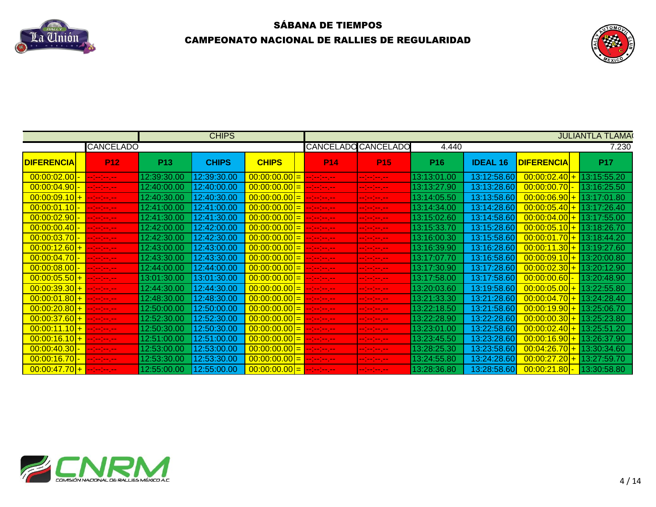



|                                          |                                                                               |             | <b>CHIPS</b> |                                                     |                                                                     |                                                                                                                                                                                                                                                                                                                                                                                                                     |             |                            |                             | <b>JULIANTLA TLAMA</b> |
|------------------------------------------|-------------------------------------------------------------------------------|-------------|--------------|-----------------------------------------------------|---------------------------------------------------------------------|---------------------------------------------------------------------------------------------------------------------------------------------------------------------------------------------------------------------------------------------------------------------------------------------------------------------------------------------------------------------------------------------------------------------|-------------|----------------------------|-----------------------------|------------------------|
|                                          | <b>CANCELADO</b>                                                              |             |              |                                                     |                                                                     | <b>CANCELADO CANCELADO</b>                                                                                                                                                                                                                                                                                                                                                                                          | 4.440       |                            |                             | 7.230                  |
| <b>DIFERENCIA</b>                        | <b>P12</b>                                                                    | <b>P13</b>  | <b>CHIPS</b> | <b>CHIPS</b>                                        | <b>P14</b>                                                          | P <sub>15</sub>                                                                                                                                                                                                                                                                                                                                                                                                     | <b>P16</b>  | <b>IDEAL 16</b>            | <b>DIFERENCIA</b>           | <b>P17</b>             |
|                                          | <b>Industrial Action</b>                                                      | 12:39:30.00 | 12:39:30.00  | $\boxed{00:00:00.00}$ = $\boxed{-1}$ = $\boxed{-1}$ |                                                                     | $\sim$ 100 km $\sim$                                                                                                                                                                                                                                                                                                                                                                                                | 13:13:01.00 | 13:12:58.60                | $00:00:02.40$ + 13:15:55.20 |                        |
| $[00:00:04.90]$ -                        | $\frac{1}{2}$ = $\frac{1}{2}$ = $\frac{1}{2}$ = $\frac{1}{2}$ = $\frac{1}{2}$ | 12:40:00.00 | 12:40:00.00  | $\frac{00:00:00.00}{-}$ -------                     |                                                                     | $\begin{aligned} \mathbf{u} & = \frac{1}{2} \mathbf{u} + \frac{1}{2} \mathbf{u} + \frac{1}{2} \mathbf{u} + \frac{1}{2} \mathbf{u} + \frac{1}{2} \mathbf{u} + \frac{1}{2} \mathbf{u} + \frac{1}{2} \mathbf{u} + \frac{1}{2} \mathbf{u} + \frac{1}{2} \mathbf{u} + \frac{1}{2} \mathbf{u} + \frac{1}{2} \mathbf{u} + \frac{1}{2} \mathbf{u} + \frac{1}{2} \mathbf{u} + \frac{1}{2} \mathbf{u} + \frac{1}{2} \mathbf{$ | 13:13:27.90 | 13:13:28.60                | $\big  00:00:00.70 \big $ - | 13:16:25.50            |
| $00:00:09.10$ +                          | <b>Industrial Action</b>                                                      | 12:40:30.00 | 12:40:30.00  | $\mid 00:00:00.00 \mid = \mid --------$             |                                                                     | $\label{eq:3.1} \frac{1}{2} \left( \frac{1}{2} \left( \frac{1}{2} \right) + \frac{1}{2} \left( \frac{1}{2} \right) + \frac{1}{2} \left( \frac{1}{2} \right) + \frac{1}{2} \left( \frac{1}{2} \right) \right)$                                                                                                                                                                                                       | 13:14:05.50 | 13:13:58.60                | $00:00:06.90$ +             | 13:17:01.80            |
| 00:00:01.10 - -------                    |                                                                               | 12:41:00.00 | 12:41:00.00  |                                                     |                                                                     | $\begin{aligned} \mathbf{u} & = \frac{1}{2} \mathbf{u} + \frac{1}{2} \mathbf{u} + \frac{1}{2} \mathbf{u} + \frac{1}{2} \mathbf{u} + \frac{1}{2} \mathbf{u} + \frac{1}{2} \mathbf{u} + \frac{1}{2} \mathbf{u} + \frac{1}{2} \mathbf{u} + \frac{1}{2} \mathbf{u} + \frac{1}{2} \mathbf{u} + \frac{1}{2} \mathbf{u} + \frac{1}{2} \mathbf{u} + \frac{1}{2} \mathbf{u} + \frac{1}{2} \mathbf{u} + \frac{1}{2} \mathbf{$ | 13:14:34.00 | 13:14:28.60                | $00:00:05.40$ + 13:17:26.40 |                        |
| $ 00:00:02.90 $ -                        | <b>Independent</b>                                                            | 12:41:30.00 | 12:41:30.00  |                                                     |                                                                     |                                                                                                                                                                                                                                                                                                                                                                                                                     | 13:15:02.60 | 13:14:58.60                | $00:00:04.00+$              | 13:17:55.00            |
| $[00:00:00.40]$ -                        | <u> Antonio est</u>                                                           | 12:42:00.00 | 12:42:00.00  | $00:00:00.00 =$                                     | $\frac{1}{2}$ and $\frac{1}{2}$ and $\frac{1}{2}$ and $\frac{1}{2}$ | المعرضة ومزملة                                                                                                                                                                                                                                                                                                                                                                                                      | 13:15:33.70 | 13:15:28.60                | $00:00:05.10$ + 13:18:26.70 |                        |
| $ 00:00:03.70 $ -                        | المعرضة إحداثه                                                                | 12:42:30.00 | 12:42:30.00  | $00:00:00.00 =$                                     | المسرمين متراميد                                                    | eelester jaar                                                                                                                                                                                                                                                                                                                                                                                                       | 13:16:00.30 | 13:15:58.60                | $00:00:01.70$ +             | 13:18:44.20            |
| $00:00:12.60$ +                          | $-1 - 1 - 1 - 1 - 1$                                                          | 12:43:00.00 | 12:43:00.00  | $\mid 00:00:00.00 \mid = \mid --------$             |                                                                     | المسرحين مترامين                                                                                                                                                                                                                                                                                                                                                                                                    | 13:16:39.90 | 13:16:28.60                | $00:00:11.30$ + 13:19:27.60 |                        |
| $[00:00:04.70]$ -                        | <b>Service</b> Service                                                        | 12:43:30.00 | 12:43:30.00  | $\frac{00:00:00.00}{-}$ --------                    |                                                                     | $\sim$ 100 km $\sim$                                                                                                                                                                                                                                                                                                                                                                                                | 13:17:07.70 | 13:16:58.60                | $00:00:09.10$ +             | 13:20:00.80            |
|                                          | $\frac{1}{2}$ and $\frac{1}{2}$ and $\frac{1}{2}$ and $\frac{1}{2}$           | 12:44:00.00 | 12:44:00.00  |                                                     |                                                                     | $\begin{aligned} \mathbf{u} & = \frac{1}{2} \mathbf{u} + \frac{1}{2} \mathbf{u} + \frac{1}{2} \mathbf{u} + \frac{1}{2} \mathbf{u} + \frac{1}{2} \mathbf{u} + \frac{1}{2} \mathbf{u} + \frac{1}{2} \mathbf{u} + \frac{1}{2} \mathbf{u} + \frac{1}{2} \mathbf{u} + \frac{1}{2} \mathbf{u} + \frac{1}{2} \mathbf{u} + \frac{1}{2} \mathbf{u} + \frac{1}{2} \mathbf{u} + \frac{1}{2} \mathbf{u} + \frac{1}{2} \mathbf{$ | 13:17:30.90 | 13:17:28.60                | $00:00:02.30$ + 13:20:12.90 |                        |
| $ 00:00:05.50  +  --- $                  |                                                                               | 13:01:30.00 | 13:01:30.00  | $\frac{00:00:00.00}{\cdot} = \frac{1}{2}$           |                                                                     | $\begin{aligned} \mathbf{u} & = \frac{1}{2} \mathbf{u} + \frac{1}{2} \mathbf{u} + \frac{1}{2} \mathbf{u} + \frac{1}{2} \mathbf{u} + \frac{1}{2} \mathbf{u} + \frac{1}{2} \mathbf{u} + \frac{1}{2} \mathbf{u} + \frac{1}{2} \mathbf{u} + \frac{1}{2} \mathbf{u} + \frac{1}{2} \mathbf{u} + \frac{1}{2} \mathbf{u} + \frac{1}{2} \mathbf{u} + \frac{1}{2} \mathbf{u} + \frac{1}{2} \mathbf{u} + \frac{1}{2} \mathbf{$ | 13:17:58.00 | 13:17:58.60                | $ 00:00:00.60 $ -           | 13:20:48.90            |
| $\frac{00:00:39.30 + \dots - 1}{\dots}$  |                                                                               | 12:44:30.00 | 12:44:30.00  |                                                     |                                                                     | en bestemmen.                                                                                                                                                                                                                                                                                                                                                                                                       | 13:20:03.60 | 13:19:58.60                | $00:00:05.00$ + 13:22:55.80 |                        |
| $00:00:01.80$ + $-:-:--$                 |                                                                               | 12:48:30.00 | 12:48:30.00  |                                                     |                                                                     |                                                                                                                                                                                                                                                                                                                                                                                                                     | 13:21:33.30 | 13:21:28.60 <mark> </mark> | $00:00:04.70$ + 13:24:28.40 |                        |
| $00:00:20.80$ + $-:-:--$                 |                                                                               | 12:50:00.00 | 12:50:00.00  | $\mid 00:00:00.00 \mid = \mid --:-:---$             |                                                                     |                                                                                                                                                                                                                                                                                                                                                                                                                     | 13:22:18.50 | 13:21:58.60                | $00:00:19.90$ +             | 13:25:06.70            |
| $\frac{00:00:37.60 + \cdots}{\cdots}$    |                                                                               | 12:52:30.00 | 12:52:30.00  |                                                     |                                                                     | $\begin{aligned} \mathbf{u} & = \frac{1}{2} \mathbf{u} + \frac{1}{2} \mathbf{u} + \frac{1}{2} \mathbf{u} + \frac{1}{2} \mathbf{u} + \frac{1}{2} \mathbf{u} + \frac{1}{2} \mathbf{u} + \frac{1}{2} \mathbf{u} + \frac{1}{2} \mathbf{u} + \frac{1}{2} \mathbf{u} + \frac{1}{2} \mathbf{u} + \frac{1}{2} \mathbf{u} + \frac{1}{2} \mathbf{u} + \frac{1}{2} \mathbf{u} + \frac{1}{2} \mathbf{u} + \frac{1}{2} \mathbf{$ | 13:22:28.90 | 13:22:28.60                | $00:00:00.30$ + 13:25:23.80 |                        |
| $\mid$ 00:00:11.10 + $\mid$              | <u> Islamiczny</u>                                                            | 12:50:30.00 | 12:50:30.00  |                                                     |                                                                     | en bestemmen.                                                                                                                                                                                                                                                                                                                                                                                                       | 13:23:01.00 | 13:22:58.60                | $00:00:02.40$ +             | 13:25:51.20            |
| $ 00:00:16.10  +  --- --- $              |                                                                               | 12:51:00.00 | 12:51:00.00  | $ 00:00:00.00 $ =                                   | المسرمين مترامي                                                     | en bestemmen.                                                                                                                                                                                                                                                                                                                                                                                                       | 13:23:45.50 | 13:23:28.60                | $00:00:16.90$ +             | 13:26:37.90            |
| $\left  \frac{00:00:40.30}{0} \right $ - | المعرضة إحدامه                                                                | 12:53:00    | 12:53:00.00  | $00:00:00.00 =$                                     | $\frac{1}{2}$ and $\frac{1}{2}$ and $\frac{1}{2}$ and $\frac{1}{2}$ | en bestemmen.                                                                                                                                                                                                                                                                                                                                                                                                       | 13:28:25.3  | 13:23:58.60                | $00:04:26.70$ +             | 13:30:34.60            |
| $[00:00:16.70]$ -                        |                                                                               |             | 12:53:30.00  | $ 00:00:00.00 $ = $ - - - - $                       |                                                                     |                                                                                                                                                                                                                                                                                                                                                                                                                     | 13:24:55.80 | 13:24:28.60                | $00:00:27.20$ +             | 13:27:59.70            |
| $00:00:47.70$ + $    -$                  |                                                                               |             |              |                                                     |                                                                     | $\sim$ 100 km $\sim$                                                                                                                                                                                                                                                                                                                                                                                                | 13:28:36.80 | 13:28:58.60                | $\frac{00:00:21.80}{ }$     | 13:30:58.80            |

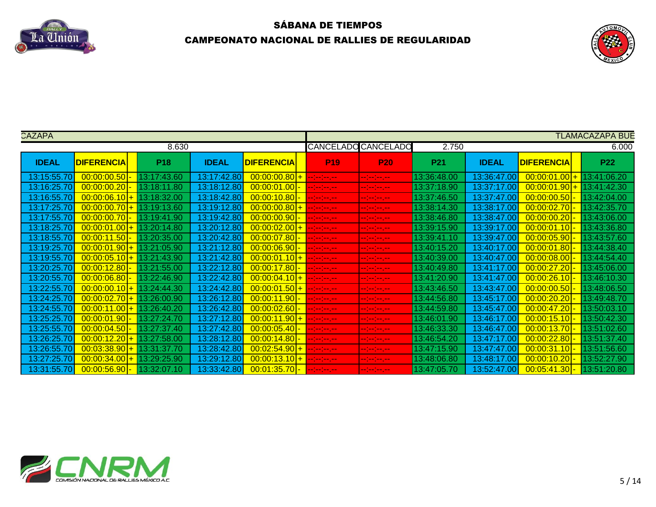



| CAZAPA       |                                                 |             |              |                       |                          |                            |                 |              |                   | <b>TLAMACAZAPA BUE</b> |
|--------------|-------------------------------------------------|-------------|--------------|-----------------------|--------------------------|----------------------------|-----------------|--------------|-------------------|------------------------|
|              |                                                 | 8.630       |              |                       |                          | <b>CANCELADO CANCELADO</b> | 2.750           |              |                   | 6.000                  |
| <b>IDEAL</b> | <b>DIFERENCIA</b>                               | <b>P18</b>  | <b>IDEAL</b> | <b>DIFERENCIA</b>     | <b>P19</b>               | <b>P20</b>                 | P <sub>21</sub> | <b>IDEAL</b> | <b>DIFERENCIA</b> | <b>P22</b>             |
| 13:15:55.70  | 00:00:00.50                                     | 13:17:43.60 | 13:17:42.80  | $00:00:00.80$ +       | er bestemmen             | eeles bezei                | 13:36:48.00     | 13:36:47.00  | 00:00:01.00       | 13:41:06.20            |
| 13:16:25.70  | $\boxed{00:00:00.20}$                           | 13:18:11.80 | 13:18:12.80  | [00:00:01.00]         | <b>Helen Stein Stein</b> | المسرمين مسامين            | 13:37:18.90     | 13:37:17.00  | 00:00:01.90       | 13:41:42.30            |
| 13:16:55.70  | $00:00:06.10$ + 13:18:32.00                     |             | 13:18:42.80  | $ 00:00:10.80 $ -     | المستوسط والمسا          | المسرمين مسامين            | 13:37:46.50     | 13:37:47.00  | 00:00:00.50       | 13:42:04.00            |
| 13:17:25.70  | $\mid 00:00:00.70 \mid + \mid 13:19:13.60 \mid$ |             | 13:19:12.80  | $00:00:00.80$ +       | <b>Section Section</b>   | المسرسين متراميد           | 13:38:14.30     | 13:38:17.00  | 00:00:02.70       | 13:42:35.70            |
| 13:17:55.70  | $[00:00:00.70]$ -                               | 13:19:41.90 | 13:19:42.80  | $ 00:00:00.90 $ -     | ومعاملته ومناسب          | المعرضة معارضه             | 13:38:46.80     | 13:38:47.00  | 00:00:00.20       | 13:43:06.00            |
| 13:18:25.70  | $00:00:01.00$ + 13:20:14.80                     |             | 13:20:12.80  | $00:00:02.00$ +       | $-1 - 1 - 1 - 1 - 1 - 1$ | المسرمين مترمين            | 13:39:15.90     | 13:39:17.00  | [00:00:01.10]     | 13:43:36.80            |
| 13:18:55.70  | $\mid 00:00:11.50 \mid - \mid 13:20:35.00 \mid$ |             | 13:20:42.80  | $\boxed{00:00:07.80}$ | $-1 - 1 - 1 - 1 - 1$     | المسرمين مسامين            | 13:39:41.10     | 13:39:47.00  | 00:00:05.90       | 13:43:57.60            |
| 13:19:25.70  | $00:00:01.90$ + 13:21:05.90                     |             | 13:21:12.80  | [00:00:06.90]         | <b>Helen Stein Stein</b> | رحم معاملتهم               | 13:40:15.20     | 13:40:17.00  | 00:00:01.80       | 13:44:38.40            |
| 13:19:55.70  | $00:00:05.10$ + 13:21:43.90                     |             | 13:21:42.80  | $00:00:01.10$ +       | $-1 - 1 - 1 - 1 - 1$     | --------                   | 13:40:39.00     | 13:40:47.00  | 00:00:08.00       | 13:44:54.40            |
| 13:20:25.70  | $ 00:00:12.80 $ -                               | 13:21:55.00 | 13:22:12.80  | 00:00:17.80           | <b>Helen Stein Stein</b> | المسرسين متراميد           | 13:40:49.80     | 13:41:17.00  | 00:00:27.20       | 13:45:06.00            |
| 13:20:55.70  | $\mid 00:00:06.80 \mid - \mid 13:22:46.90 \mid$ |             | 13:22:42.80  | $00:00:04.10$ +       | $1 - 1 - 1 - 1 - 1$      | المسترجعة ومعارضه          | 13:41:20.90     | 13:41:47     | 00:00:26.10       | 13:46:10.30            |
| 13:22:55.70  | $\boxed{00:00:00.10 + 13:24:44.30}$             |             | 13:24:42.80  | $00:00:01.50$ +       | $-1 - 1 - 1 - 1 - 1 - 1$ | المعرضة معارضه             | 13:43:46.50     | 13:43:47.00  | 00:00:00.50       | 13:48:06.50            |
| 13:24:25.70  | $\mid 00:00:02.70 \mid + \mid 13:26:00.90 \mid$ |             | 13:26:12.80  | [00:00:11.90]         | المسرحين مترامين         | المسترجع ومناجع            | 13:44:56.80     | 13:45:17     | 00:00:20.20       | 13:49:48.70            |
| 13:24:55.7   | $00:00:11.00$ + 13:26:40.20                     |             | 13:26:42.80  | [00:00:02.60]         |                          | erjenjen en                | 13:44:59.80     | 13:45:47.    | 00:00:47.20       | 13:50:03.10            |
| 13:25:25.7   | $[00:00:01.90]$ -                               | 13:27:24.70 | 13:27:12.80  | $00:00:11.90$ +       | --1-1-1-1                | -- <mark>-- -- --</mark>   | 13:46:01.90     | 13:46:17.00  | 00:00:15.10       | 13:50:42.30            |
| 13:25:55.70  | [00:00:04.50]                                   | 13:27:37.40 | 13:27:42.80  | 00:00:05.40           | المسرمين مترمين          | er besten en               | 13:46:33.30     | 13:46:47.00  | 00:00:13.70       | 13:51:02.60            |
| 13:26:25.70  | [00:00:12.20]                                   | 13:27:58.00 | 13:28:12.80  | [00:00:14.80]         | المسترجعة والمتراكب      | المسرمين مترمين            | 13:46:54.20     | 13:47:17.00  | 00:00:22.80       | 13:51:37.40            |
| 13:26:55.70  | $00:03:38.90$ +                                 | 13:31:37.70 | 13:28:42.80  | $00:02:54.90$ +       | المسترسم والمتواصد       | المسرمين مسامين            | 13:47:15.90     | 13:47:47.00  | 00:00:31.10       | 13:51:56.60            |
| 13:27:25.70  | [00:00:34.00]                                   | 13:29:25.90 | 13:29:12.80  | $00:00:13.10$ +       | <b>Section Section</b>   | المسرسين متراميد           | 13:48:06.80     | 13:48:17.00  | 00:00:10.20       | 13:52:27.90            |
| 13:31:55.70  | $00:00:56.90$ -                                 | 13:32:07.10 | 13:33:42.80  | 00:01:35.70 - ------- |                          | المسرسين متراميد           | 13:47:05.70     | 13:52:47.00  | 00:05:41.30       | 13:51:20.80            |

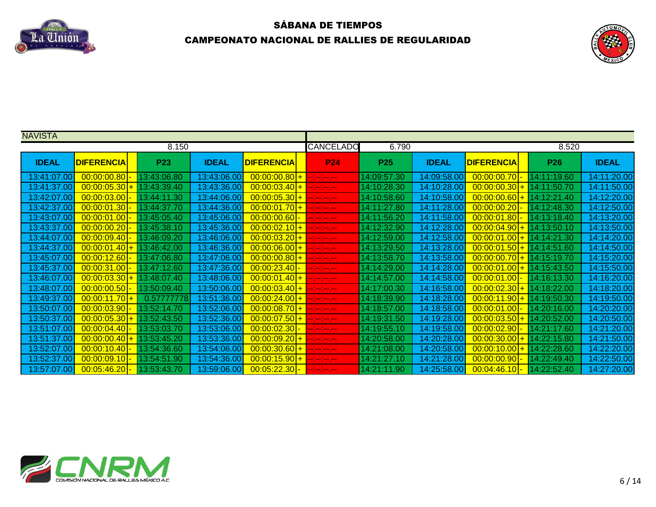



| <b>NAVISTA</b> |                   |             |              |                                        |                      |             |              |                                                 |             |              |
|----------------|-------------------|-------------|--------------|----------------------------------------|----------------------|-------------|--------------|-------------------------------------------------|-------------|--------------|
|                |                   | 8.150       |              |                                        | <b>CANCELADO</b>     | 6.790       |              |                                                 | 8.520       |              |
| <b>IDEAL</b>   | <b>DIFERENCIA</b> | <b>P23</b>  | <b>IDEAL</b> | <b>DIFERENCIA</b>                      | <b>P24</b>           | <b>P25</b>  | <b>IDEAL</b> | <b>DIFERENCIA</b>                               | <b>P26</b>  | <b>IDEAL</b> |
| 13:41:07.00    | 00:00:00.80       | 13:43:06.80 | 13:43:06.00  | $00:00:00.80$ +                        | $\sim$ 100 km $\sim$ | 14:09:57.30 | 14:09:58.00  | $[00:00:00.70]$ -                               | 14:11:19.60 | 14:11:20.00  |
| 13:41:37.00    | $00:00:05.30$ +   | 13:43:39.40 | 13:43:36.00  | $00:00:03.40$ + $-:-:--$               |                      | 14:10:28.30 | 14:10:28.00  | $00:00:00.30$ +                                 | 14:11:50.70 | 14:11:50.00  |
| 13:42:07.00    | $ 00:00:03.00 $ - | 13:44:11.30 | 13:44:06.00  | $00:00:05.30$ + $-:-:--$               |                      | 14:10:58.60 | 14:10:58.00  | $00:00:00.60$ +                                 | 14:12:21.40 | 14:12:20.00  |
| 13:42:37.00    | $00:00:01.30$ -   | 13:44:37.70 | 13:44:36.00  | $ 00:00:01.70 $ + $        -$          |                      | 14:11:27.80 | 14:11:28.00  | $ 00:00:00.20 $ -                               | 14:12:48.30 | 14:12:50.00  |
| 13:43:07.00    | $00:00:01.00$ -   | 13:45:05.40 | 13:45:06.00  | 00:00:00.60 - -------                  |                      | 14:11:56.20 | 14:11:58.00  | $00:00:01.80$ -                                 | 14:13:18.40 | 14:13:20.00  |
| 13:43:37.00    | $[00:00:00.20]$ - | 13:45:38.10 | 13:45:36.00  | $00:00:02.10$ + $-:-:--$               |                      | 14:12:32.90 | 14:12:28.00  | $00:00:04.90$ + 14:13:50.10                     |             | 14:13:50.00  |
| 13:44:07.00    | $ 00:00:09.40 $ - | 13:46:09.20 | 13:46:06.00  | 00:00:03.20 <sup> </sup> +  --:--:---- |                      | 14:12:59.00 | 14:12:58.00  | $\mid 00:00:01.00 \mid + \mid 14:14:21.30 \mid$ |             | 14:14:20.00  |
| 13:44:37.00    | $00:00:01.40$ +   | 13:46:42.00 | 13:46:36.00  | $00:00:06.00$ + $-:-:--$               |                      | 14:13:29.50 | 14:13:28.00  | $00:00:01.50$ + 14:14:51.60                     |             | 14:14:50.00  |
| 13:45:07.00    | $00:00:12.60$ -   | 13:47:06.80 | 13:47:06.00  | $ 00:00:00.80 $ + $ $ --:--:--.-       |                      | 14:13:58.70 | 14:13:58.00  | $00:00:00.70$ + 14:15:19.70                     |             | 14:15:20.00  |
| 13:45:37.00    | $00:00:31.00$ -   | 13:47:12.60 | 13:47:36.00  | 00:00:23.40 - --------                 |                      | 14:14:29.00 | 14:14:28.00  | $00:00:01.00$ + 14:15:43.50                     |             | 14:15:50.00  |
| 13:46:07.00    | $00:00:03.30$ +   | 13:48:07.40 | 13:48:06.00  | 00:00:01.40 + --------                 |                      | 14:14:57.00 | 14:14:58.00  | $[00:00:01.00]$ -                               | 14:16:13.30 | 14:16:20.00  |
| 13:48:07.00    | 00:00:00.50       | 13:50:09.40 | 13:50:06.00  | $00:00:03.40$ + $-:-:--$               |                      | 14:17:00.30 | 14:16:58.00  | $00:00:02.30$ +                                 | 14:18:22.00 | 14:18:20.00  |
| 13:49:37.00    | $00:00:11.70$ +   | 0.57777778  | 13:51:36.00  | 00:00:24.00 + --------                 |                      | 14:18:39.90 | 14:18:28.00  | $00:00:11.90$ +                                 | 14:19:50.30 | 14:19:50.00  |
| 13:50:07.00    | 00:00:03.90       | 13:52:14.70 | 13:52:06.00  | $00:00:08.70$ + $-:-:--$               |                      | 14:18:57.00 | 14:18:58.00  | [00:00:01.00]                                   | 14:20:16.00 | 14:20:20.00  |
| 13:50:37.00    | 00:00:05.30       | 13:52:43.50 | 13:52:36.00  | $ 00:00:07.50  +  --- --- $            |                      | 14:19:31.50 | 14:19:28.00  | $00:00:03.50+$                                  | 14:20:52.00 | 14:20:50.00  |
| 13:51:07.00    | [00:00:04.40]     | 13:53:03.70 | 13:53:06.00  | $00:00:02.30$ -                        |                      | 14:19:55.10 | 14:19:58.00  | $00:00:02.90$ -                                 | 14:21:17.60 | 14:21:20.00  |
| 13:51:37.00    | $00:00:00.40$ +   | 13:53:45.20 | 13:53:36.00  | $00:00:09.20$ + $-:-:---$              |                      | 14:20:58.00 | 14:20:28.00  | $00:00:30.00$ +                                 | 14:22:15.80 | 14:21:50.00  |
| 13:52:07.00    | $00:00:10.40$ -   | 13:54:36.60 | 13:54:06.00  | $00:00:30.60$ + $-$ - $-$ -            |                      | 14:21:08.00 | 14:20:58.00  | $00:00:10.00$ +                                 | 14:22:28.60 | 14:22:20.00  |
| 13:52:37.00    | $00:00:09.10$ -   | 13:54:51.90 | 13:54:36.00  | $ 00:00:15.90  +  ------ $             |                      | 14:21:27.10 | 14:21:28.00  | $00:00:00.90$ -                                 | 14:22:49.40 | 14:22:50.00  |
| 13:57:07.00    | $00:05:46.20$ -   | 13:53:43.70 | 13:59:06.00  | 00:05:22.30 <mark>- --------</mark>    |                      | 14:21:11.90 | 14:25:58.00  | $00:04:46.10$ -                                 | 14:22:52.40 | 14:27:20.00  |

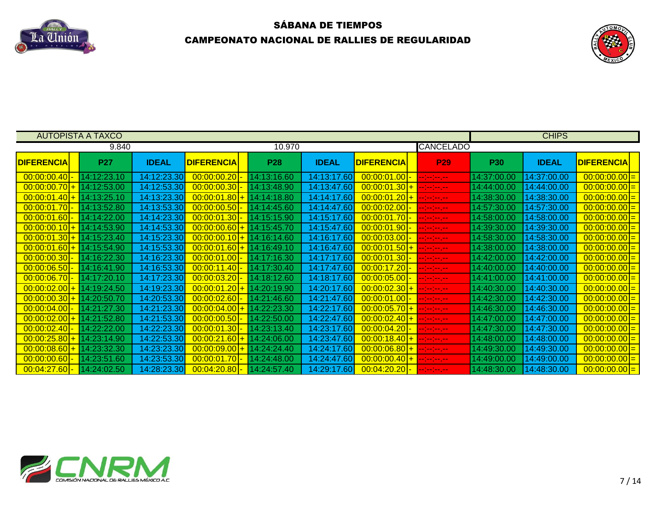



|                            | <b>AUTOPISTA A TAXCO</b> |              |                             |             |              |                   |                                                                                                                                                                                                                                                                                                                                                                                                                                                                                                  |             | <b>CHIPS</b> |                   |  |
|----------------------------|--------------------------|--------------|-----------------------------|-------------|--------------|-------------------|--------------------------------------------------------------------------------------------------------------------------------------------------------------------------------------------------------------------------------------------------------------------------------------------------------------------------------------------------------------------------------------------------------------------------------------------------------------------------------------------------|-------------|--------------|-------------------|--|
|                            | 9.840                    |              |                             | 10.970      |              |                   | <b>CANCELADO</b>                                                                                                                                                                                                                                                                                                                                                                                                                                                                                 |             |              |                   |  |
| <b>DIFERENCIA</b>          | <b>P27</b>               | <b>IDEAL</b> | <b>DIFERENCIA</b>           | <b>P28</b>  | <b>IDEAL</b> | <b>DIFERENCIA</b> | <b>P29</b>                                                                                                                                                                                                                                                                                                                                                                                                                                                                                       | <b>P30</b>  | <b>IDEAL</b> | <b>DIFERENCIA</b> |  |
| 00:00:00.40                | 14:12:23.10              | 14:12:23.30  | 00:00:00.20                 | 14:13:16.60 | 14:13:17.60  | 00:00:01.00       | مسرمين مستمي                                                                                                                                                                                                                                                                                                                                                                                                                                                                                     | 14:37:00.00 | 14:37:00.00  | $ 00:00:00.00 =$  |  |
| $00:00:00.70$ +            | 14:12:53.00              | 14:12:53.30  | $00:00:00.30$ -             | 14:13:48.90 | 14:13:47.60  | $00:00:01.30$ +   |                                                                                                                                                                                                                                                                                                                                                                                                                                                                                                  | 14:44:00.00 | 14:44:00.00  | 00:00:00.00       |  |
| $00:00:01.40$ +            | 14:13:25.10              | 14:13:23.30  | $00:00:01.80$ +             | 14:14:18.80 | 14:14:17.60  | $00:00:01.20$ +   | المستراسين المستراسية                                                                                                                                                                                                                                                                                                                                                                                                                                                                            | 14:38:30.00 | 14:38:30.00  | 00:00:00.00       |  |
| $00:00:01.70$ -            | 14:13:52.80              | 14:13:53.30  | $00:00:00.50$ -             | 14:14:45.60 | 14:14:47.60  | $00:00:02.00$ -   | <u> Linda e la c</u>                                                                                                                                                                                                                                                                                                                                                                                                                                                                             | 14:57:30.00 | 14:57:30.00  | $00:00:00.00$ =   |  |
| $00:00:01.60$ -            | 14:14:22.00              | 14:14:23.30  | $00:00:01.30$ -             | 14:15:15.90 | 14:15:17.60  | $00:00:01.70$ -   | $    -$                                                                                                                                                                                                                                                                                                                                                                                                                                                                                          | 14:58:00.00 | 14:58:00.00  | $00:00:00.00 =$   |  |
| $00:00:00.10$ +            | 14:14:53.90              | 14:14:53.30  | $00:00:00.60$ + 14:15:45.70 |             | 14:15:47.60  | $00:00:01.90$ -   |                                                                                                                                                                                                                                                                                                                                                                                                                                                                                                  | 14:39:30.00 | 14:39:30.00  | 00:00:00.00       |  |
| $00:00:01.30$ +            | 14:15:23.40              | 14:15:23.30  | $00:00:00.10$ + 14:16:14.60 |             | 14:16:17.60  | [00:00:03.00]     | $-1 - 1 - 1$                                                                                                                                                                                                                                                                                                                                                                                                                                                                                     | 14:58:30.00 | 14:58:30.00  | 00:00:00.00       |  |
| $00:00:01.60$ +            | 14:15:54.90              | 14:15:53.30  | $00:00:01.60$ + 14:16:49.10 |             | 14:16:47.60  | $00:00:01.50$ +   |                                                                                                                                                                                                                                                                                                                                                                                                                                                                                                  | 14:38:00.00 | 14:38:00.00  | $ 00:00:00.00 =$  |  |
| [00:00:00.30]              | 14:16:22.30              | 14:16:23.30  | $00:00:01.00$ -             | 14:17:16.30 | 14:17:17.60  | $00:00:01.30$ -   | $\begin{array}{cccccc} -1 & -1 & -1 & -1 & -1 \\ \end{array}$                                                                                                                                                                                                                                                                                                                                                                                                                                    | 14:42:00.00 | 14:42:00.00  | $00:00:00.00$ =   |  |
| 00:00:06.50                | 14:16:41.90              | 14:16:53.30  | $00:00:11.40$ -             | 14:17:30.40 | 14:17:47.60  | 00:00:17.20       | <u>e je je je pr</u>                                                                                                                                                                                                                                                                                                                                                                                                                                                                             | 14:40:00.00 | 14:40:00.00  | $00:00:00.00$ =   |  |
| [00:00:06.70]              | 14:17:20.10              | 14:17:23.30  | 00:00:03.20                 | 14:18:12.60 | 14:18:17.60  | [00:00:05.00]     | المسرومين مسترمينا                                                                                                                                                                                                                                                                                                                                                                                                                                                                               | 14:41:00.00 | 14:41:00.00  | $00:00:00.00$ =   |  |
| $00:00:02.00$ +            | 14:19:24.50              | 14:19:23.30  | 00:00:01.20                 | 14:20:19.90 | 14:20:17.60  | $00:00:02.30$ +   | المعرضة إلماركة                                                                                                                                                                                                                                                                                                                                                                                                                                                                                  | 14:40:30.00 | 14:40:30.00  | $00:00:00.00$ =   |  |
| $00:00:00.30$ +            | 14:20:50.70              | 14:20:53.30  | $00:00:02.60$ -             | 14:21:46.60 | 14:21:47.60  | 00:00:01.00       | وتعارضه وتعارضه                                                                                                                                                                                                                                                                                                                                                                                                                                                                                  | 14:42:30.00 | 14:42:30.00  | $ 00:00:00.00 =$  |  |
| 00:00:04.00                | 14:21:27.30              | 14:21:23.30  | $00:00:04.00$ +             | 14:22:23.30 | 14:22:17.60  | $00:00:05.70$ +   | مسرمين مستمي                                                                                                                                                                                                                                                                                                                                                                                                                                                                                     | 14:46:30.00 | 14:46:30.00  | 00:00:00.00       |  |
| $00:00:02.00$ +            | 14:21:52.80              | 14:21:53.30  | $00:00:00.50$ -             | 14:22:50.00 | 14:22:47.60  | $00:00:02.40$ +   | المسترجعة والمتراجعة                                                                                                                                                                                                                                                                                                                                                                                                                                                                             | 14:47:00.00 | 14:47:00.00  | 00:00:00.00       |  |
| [00:00:02.40]              | 14:22:22.00              | 14:22:23.30  | $00:00:01.30$ -             | 14:23:13.40 | 14:23:17.60  | $00:00:04.20$ -   | $\begin{tabular}{ll} \multicolumn{2}{c} {\textbf{a}} & \multicolumn{2}{c} {\textbf{a}} & \multicolumn{2}{c} {\textbf{a}} \\ \multicolumn{2}{c} {\textbf{a}} & \multicolumn{2}{c} {\textbf{a}} & \multicolumn{2}{c} {\textbf{a}} \\ \multicolumn{2}{c} {\textbf{a}} & \multicolumn{2}{c} {\textbf{a}} & \multicolumn{2}{c} {\textbf{a}} \\ \multicolumn{2}{c} {\textbf{a}} & \multicolumn{2}{c} {\textbf{a}} & \multicolumn{2}{c} {\textbf{a}} \\ \multicolumn{2}{c} {\textbf{a}} & \multicolumn$ | 14:47:30.00 | 14:47:30.00  | 00:00:00.00       |  |
| $00:00:25.80+$             | 14:23:14.90              | 14:22:53.30  | $00:00:21.60$ +             | 14:24:06.00 | 14:23:47.60  | $00:00:18.40$ +   | $\begin{array}{ccccccccc} \multicolumn{2}{c }{\multicolumn{2}{c }{\multicolumn{2}{c }{\multicolumn{2}{c}}}{\multicolumn{2}{c }{\multicolumn{2}{c}}}{\multicolumn{2}{c }{\multicolumn{2}{c}}}{\multicolumn{2}{c }{\multicolumn{2}{c}}}{\multicolumn{2}{c }{\multicolumn{2}{c}}}{\multicolumn{2}{c }{\multicolumn{2}{c}}}{\multicolumn{2}{c }{\multicolumn{2}{c}}}{\multicolumn{2}{c }{\multicolumn{2}{c}}}{\multicolumn{2}{c }{\multicolumn{2}{c}}}{\multicolumn{2}{c }{\$                        | 14:48:00.00 | 14:48:00.00  | $00:00:00.00$ =   |  |
| $\overline{00:00:08.60}$ + | 14:23:32.30              | 14:23:23.30  | $00:00:09.00$ +             | 14:24:24.40 | 14:24:17.60  | $00:00:06.80$ +   | <b>Participation</b>                                                                                                                                                                                                                                                                                                                                                                                                                                                                             | 14:49:30.00 | 14:49:30.00  | $00:00:00.00 =$   |  |
| [00:00:00.60]              | 14:23:51.60              | 14:23:53.30  | $00:00:01.70$ -             | 14:24:48.00 | 14:24:47.60  | $00:00:00.40$ +   | <u>La provincia del</u>                                                                                                                                                                                                                                                                                                                                                                                                                                                                          | 14:49:00.00 | 14:49:00.00  | $00:00:00.00$ =   |  |
| $00:04:27.60$ -            | 14:24:02.50              | 14:28:23.30  | $ 00:04:20.80 $ -           | 14:24:57.40 | 14:29:17.60  | $00:04:20.20$ -   | <b>Belgium</b>                                                                                                                                                                                                                                                                                                                                                                                                                                                                                   | 14:48:30.00 | 14:48:30.00  | $00:00:00.00 =$   |  |

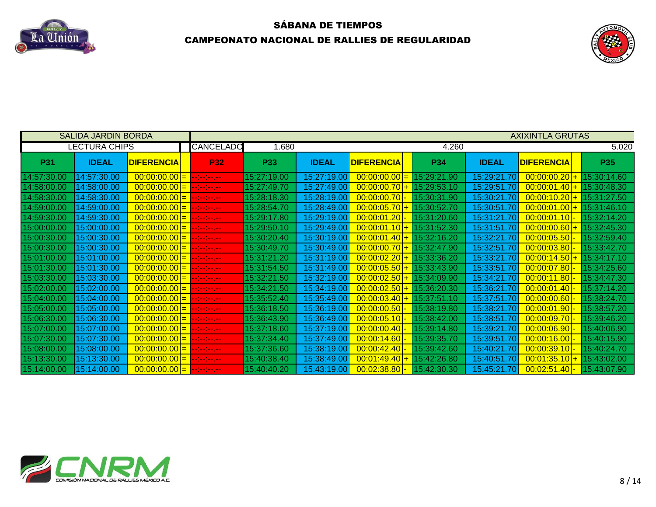



|             | <b>SALIDA JARDIN BORDA</b> |                                         | <b>AXIXINTLA GRUTAS</b> |                          |             |              |                                                 |       |             |              |                   |             |  |
|-------------|----------------------------|-----------------------------------------|-------------------------|--------------------------|-------------|--------------|-------------------------------------------------|-------|-------------|--------------|-------------------|-------------|--|
|             | <b>LECTURA CHIPS</b>       |                                         |                         | <b>CANCELADO</b>         | 1.680       |              |                                                 | 4.260 |             |              | 5.020             |             |  |
| <b>P31</b>  | <b>IDEAL</b>               | <b>DIFERENCIA</b>                       |                         | <b>P32</b>               | <b>P33</b>  | <b>IDEAL</b> | <b>DIFERENCIA</b>                               |       | <b>P34</b>  | <b>IDEAL</b> | <b>DIFERENCIA</b> | <b>P35</b>  |  |
| 14:57:30.00 | 14:57:30.00                | $ 00:00:00.00 $ =                       |                         | المسترجعة والمتراجية     | 15:27:19.00 | 15:27:19.00  | $\mid 00:00:00.00 \mid = \mid 15:29:21.90 \mid$ |       |             | 15:29:21.70  | $00:00:00.20$ +   | 15:30:14.60 |  |
| 14:58:00.00 | 14:58:00.00                | $\mid 00:00:00.00 \mid = 0$             |                         | مسترسم ومنازعها          | 15:27:49.70 | 15:27:49.00  | $00:00:00.70$ + 15:29:53.10                     |       |             | 15:29:51.70  | $00:00:01.40$ +   | 15:30:48.30 |  |
| 14:58:30.00 | 14:58:30.00                | $\mid 00:00:00.00 \mid = 0$             |                         | -------                  | 15:28:18.30 | 15:28:19.00  | $00:00:00.70$ -                                 |       | 15:30:31.90 | 15:30:21.70  | $00:00:10.20$ +   | 15:31:27.50 |  |
| 14:59:00.00 | 14:59:00.00                | $ 00:00:00.00 $ =                       |                         | المسترجعة والمتواصد      | 15:28:54.70 | 15:28:49.00  | $00:00:05.70$ + 15:30:52.70                     |       |             | 15:30:51.70  | $00:00:01.00$ +   | 15:31:46.10 |  |
| 14:59:30.00 | 14:59:30.00                |                                         |                         |                          | 15:29:17.80 | 15:29:19.00  | $00:00:01.20$   $15:31:20.60$                   |       |             | 15:31:21.70  | $00:00:01.10$ -   | 15:32:14.20 |  |
| 15:00:00.00 | 15:00:00.00                | $00:00:00.00$ = $-:-:---$               |                         |                          | 15:29:50.10 | 15:29:49.00  | $00:00:01.10$ + $15:31:52.30$                   |       |             | 15:31:51.70  | $00:00:00.60$ +   | 15:32:45.30 |  |
| 15:00:30.00 | 15:00:30.00                | $ 00:00:00.00 $ = $ -1-1-1-1-1-1 $      |                         |                          | 15:30:20.40 | 15:30:19.00  | $00:00:01.40$ + 15:32:16.20                     |       |             | 15:32:21.70  | 00:00:05.50       | 15:32:59.40 |  |
| 15:00:30.00 | 15:00:30.00                | $ 00:00:00.00 $ = $ -1-1-1-1-1-1 $      |                         |                          | 15:30:49.70 | 15:30:49.00  | $00:00:00.70$ + 15:32:47.90                     |       |             | 15:32:51.70  | 00:00:03.80       | 15:33:42.70 |  |
| 15:01:00.00 | 15:01:00.00                | $ 00:00:00.00 $ = $ -1-1-1-1-1 $        |                         |                          | 15:31:21.20 | 15:31:19.00  | $00:00:02.20$ + 15:33:36.20                     |       |             | 15:33:21.70  | $00:00:14.50+$    | 15:34:17.10 |  |
| 15:01:30.00 | 15:01:30.00                | $ 00:00:00.00 $ =                       |                         | $-1 - 1 - 1 - 1 - 1 - 1$ | 15:31:54.50 | 15:31:49.00  | $00:00:05.50$ + 15:33:43.90                     |       |             | 15:33:51.70  | 00:00:07.80       | 15:34:25.60 |  |
| 15:03:30.00 | 15:03:30.00                | $00:00:00.00$ = $-:-:---$               |                         |                          | 15:32:21.50 | 15:32:19.00  | $00:00:02.50$ + 15:34:09.90                     |       |             | 15:34:21.70  | 00:00:11.80       | 15:34:47.30 |  |
| 15:02:00.00 | 15:02:00.00                | $ 00:00:00.00 $ =                       |                         | <b>Participation</b>     | 15:34:21.50 | 15:34:19.00  | $00:00:02.50$ + 15:36:20.30                     |       |             | 15:36:21.70  | 00:00:01.40       | 15:37:14.20 |  |
| 15:04:00.00 | 15:04:00.00                | $ 00:00:00.00 $ =                       |                         | <u> - - - - - - - </u>   | 15:35:52.40 | 15:35:49.00  | $00:00:03.40$ + 15:37:51.10                     |       |             | 15:37:51.70  | 00:00:00.60       | 15:38:24.70 |  |
| 15:05:00.00 | 15:05:00.00                | $00:00:00.00$ =                         |                         | المسترسم ومسترسما        | 15:36:18.50 | 15:36:19.00  | $00:00:00.50$ -                                 |       | 15:38:19.80 | 15:38:21.70  | 00:00:01.90       | 15:38:57.20 |  |
| 15:06:30.00 | 15:06:30.00                | $00:00:00.00$ = $-:-:---$               |                         |                          | 15:36:43.90 | 15:36:49.00  | 00:00:05.10                                     |       | 15:38:42.00 | 15:38:51.70  | 00:00:09.70       | 15:39:46.20 |  |
| 15:07:00.00 | 15:07:00.00                | $\mid 00:00:00.00 \mid = \mid --:-:---$ |                         |                          | 15:37:18.60 | 15:37:19.00  | $00:00:00.40$ -                                 |       | 15:39:14.80 | 15:39:21.70  | [00:00:06.90]     | 15:40:06.90 |  |
| 15:07:30.00 | 15:07:30.00                | $00:00:00.00$ = $-:-:---$               |                         |                          | 15:37:34.40 | 15:37:49.00  | [00:00:14.60]                                   |       | 15:39:35.70 | 15:39:51.70  | [00:00:16.00]     | 15:40:15.90 |  |
| 15:08:00.00 | 15:08:00.00                |                                         |                         |                          | 15:37:36.60 | 15:38:19.00  | [00:00:42.40]                                   |       | 15:39:42.60 | 15:40:21.70  | [00:00:39.10]     | 15:40:24.70 |  |
| 15:13:30.00 | 15:13:30.00                | $ 00:00:00.00 $ = $ -1-1-1-1-1-1 $      |                         |                          | 15:40:38.40 | 15:38:49.00  | $00:01:49.40$ +                                 |       | 15:42:26.80 | 15:40:51.70  | $00:01:35.10$ +   | 15:43:02.00 |  |
| 15:14:00.00 | 15:14:00.00                | $ 00:00:00.00 $ = $ -1-1-1-1-1-1-1 $    |                         |                          | 15:40:40.20 | 15:43:19.00  | $00:02:38.80$ - 15:42:30.30                     |       |             | 15:45:21.70  | $00:02:51.40$ -   | 15:43:07.90 |  |

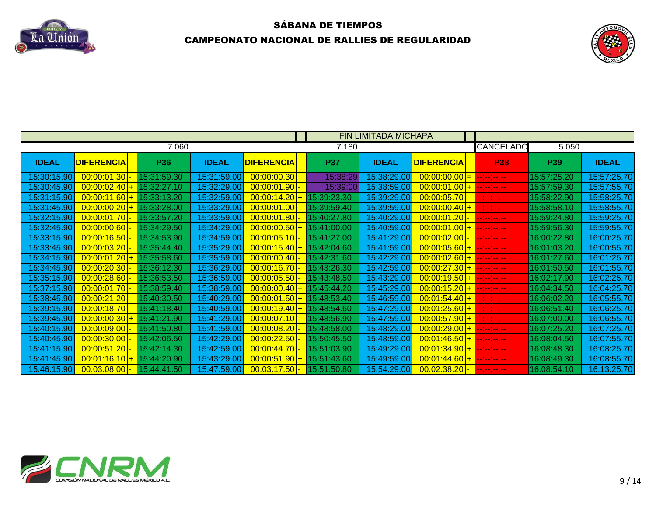



|              |                   |                               |                              |                                 |                                                 | <b>FIN LIMITADA MICHAPA</b> |                                                                                                                                                                                                                                                                                                                                                                                                                                    |                  |             |              |
|--------------|-------------------|-------------------------------|------------------------------|---------------------------------|-------------------------------------------------|-----------------------------|------------------------------------------------------------------------------------------------------------------------------------------------------------------------------------------------------------------------------------------------------------------------------------------------------------------------------------------------------------------------------------------------------------------------------------|------------------|-------------|--------------|
|              |                   | 7.060                         |                              |                                 | 7.180                                           |                             |                                                                                                                                                                                                                                                                                                                                                                                                                                    | <b>CANCELADO</b> | 5.050       |              |
| <b>IDEAL</b> | <b>DIFERENCIA</b> | P36                           | <b>IDEAL</b>                 | <b>DIFERENCIA</b>               | <b>P37</b>                                      | <b>IDEAL</b>                | <b>DIFERENCIA</b>                                                                                                                                                                                                                                                                                                                                                                                                                  | P <sub>38</sub>  | <b>P39</b>  | <b>IDEAL</b> |
| 15:30:15.9   |                   |                               | 15:31:59.00                  | $00:00:00.30$ +                 | 15:38:29                                        | 15:38:29.0                  | $\frac{00:00:00.00}{ } = \frac{1}{2}$                                                                                                                                                                                                                                                                                                                                                                                              |                  | 15:57:25.20 | 15:57:25.7   |
|              |                   |                               |                              | $ 00:00:01.90 $ -               | 15:39:00                                        |                             | $15:38:59.00$ 00:00:01.00 + -------                                                                                                                                                                                                                                                                                                                                                                                                |                  | 15:57:59.30 | 15:57:55.70  |
|              |                   |                               | 15:32:59.00                  | $00:00:14.20$ + 15:39:23.30     |                                                 | 15:39:29.00                 | $ 00:00:05.70 $ -                                                                                                                                                                                                                                                                                                                                                                                                                  | --1-1-1-1-1      | 15:58:22.90 | 15:58:25.70  |
| 15:31:45.90  |                   | $00:00:00.20$ + $15:33:28.00$ |                              |                                 |                                                 |                             | 15:33:29.00 00:00:01.00 15:39:59.40 15:39:59.00 00:00:00.40 + --:--:--.--                                                                                                                                                                                                                                                                                                                                                          |                  | 15:58:58.10 | 15:58:55.70  |
| 15:32:15.90  | [00:00:01.70]     |                               | 15:33:59.00                  |                                 | $\frac{00:00:01.80}{00:00000}$ - 15:40:27.80    |                             |                                                                                                                                                                                                                                                                                                                                                                                                                                    |                  | 15:59:24.80 | 15:59:25.70  |
| 15:32:45.9   | $00:00:00.60$ -   | - 15:34:29.50                 | 15:34:29.00                  |                                 | $\frac{00:00:00.50 + 15:41:00.00}{15}$          |                             | $15:40:59.00$ $00:00:01.00$ + $-:-:--$                                                                                                                                                                                                                                                                                                                                                                                             |                  | 15:59:56.30 | 15:59:55.70  |
|              |                   |                               | 15:34:59.00                  | $[00:00:05.10] - [15:41:27.00]$ |                                                 | 15:41:29.00                 | $ 00:00:02.00 $ -                                                                                                                                                                                                                                                                                                                                                                                                                  | المسرمين مسترمين | 16:00:22.80 | 16:00:25.70  |
|              | $00:00:03.20$ .   | 15:35:44 40 I                 | 15:35:29.00                  |                                 | $00:00:15.40$ + 15:42:04.60                     | 15:41:59.00                 | 00:00:05.60 + --------                                                                                                                                                                                                                                                                                                                                                                                                             |                  | 16:01:03.20 | 16:00:55.7   |
| 15:34:15.9   |                   |                               | 15:35:59.00                  |                                 | $\boxed{00:00:00.40}$ - 15:42:31.60             | 15:42:29.00                 | $ 00:00:02.60  +  -.-.-.$                                                                                                                                                                                                                                                                                                                                                                                                          |                  | 16:01:27.60 | 16:01:25.70  |
| 15:34:45.90  | [00:00:20.30]     | 15:36:12.30                   | 15:36:29.00                  |                                 |                                                 | 15:42:59.00                 | 00:00:27.30 + --------                                                                                                                                                                                                                                                                                                                                                                                                             |                  | 16:01:50.50 | 16:01:55.70  |
|              |                   |                               |                              |                                 |                                                 |                             | $-15:36:59.00$ $-00:00:05.50$ $-15:43:48.50$ $-15:43:29.00$ $-00:00:19.50$ $+$ $-1-1-1-1$                                                                                                                                                                                                                                                                                                                                          |                  | 16:02:17.90 | 16:02:25.70  |
|              |                   | 5:38:59.40                    |                              |                                 |                                                 |                             | $-15.38.59.00$ $00.00.00.40 + 15.45.44.20$ $15.45.29.00$ $00.00.15.20 + -1.1$                                                                                                                                                                                                                                                                                                                                                      |                  | 16:04:34.50 | 16:04:25.70  |
| 15:38:45.90  |                   |                               |                              |                                 |                                                 |                             | $\textbf{00:00:21.20} \textcolor{red}{\textbf{-15:40:30.50}} \textcolor{red}{\textbf{-15:40:29.00}} \textcolor{red}{\textbf{-15:40:29.00}} \textcolor{red}{\textbf{-00:00:01.50}} \textcolor{red}{\textbf{+}} \textcolor{red}{\textbf{-15:48:53.40}} \textcolor{red}{\textbf{-15:46:59.00}} \textcolor{red}{\textbf{-00:01:54.40}} \textcolor{red}{\textbf{+}} \textcolor{red}{\textbf{+}} \textcolor{red}{\textbf{-}} \textcolor$ |                  | 16:06:02.20 | 16:05:55.70  |
| 15:39:15.90  |                   | 15:41:18.40                   | 15.40:59.00                  |                                 | $\frac{00:00:19.40 + 15:48:54.60}{1500}$        |                             |                                                                                                                                                                                                                                                                                                                                                                                                                                    |                  | 16:06:51.40 | 16:06:25.70  |
| 15:39:45.9   |                   | $00:00:00.30$ + 15:41:21.90   |                              |                                 |                                                 |                             | $15:47:59.00$ 00:00:57.90 + --------                                                                                                                                                                                                                                                                                                                                                                                               |                  | 16:07:00.00 | 16:06:55.70  |
|              |                   |                               | _15:41:59.00  <mark>_</mark> |                                 | $\mid 00:00:08.20 \mid - \mid 15:48:58.00 \mid$ | 15:48:29.00                 | 00:00:29.00 + --------                                                                                                                                                                                                                                                                                                                                                                                                             |                  | 16:07:25.20 | 16:07:25.70  |
|              |                   | 15:42:06.50                   | 15:42:29.00                  |                                 | $00:00:22.50$ - 15:50:45.50                     | 15:48:59.0                  | 00:01:46.50 + --------                                                                                                                                                                                                                                                                                                                                                                                                             |                  | 16:08:04.50 | 16:07:55.7   |
|              |                   |                               | 15:42:59.00                  | $[00:00:44.70]$ -               |                                                 | 15:49:29.00                 | $00:01:34.90$ + $-:-:--$                                                                                                                                                                                                                                                                                                                                                                                                           |                  | 6:08:48.30  | 16:08:25.70  |
| 15:41:45.90  |                   | $00:01:16.10$ + $15:44:20.90$ | 15:43:29.00                  | $00:00:51.90$ + 15:51:43.60     |                                                 | 15:49:59.00                 | $\frac{00:01:44.60 + \cdots}{\cdots}$                                                                                                                                                                                                                                                                                                                                                                                              |                  | 6:08:49.30  | 16:08:55.70  |
|              |                   |                               |                              |                                 |                                                 |                             | .15:46:15.90 <mark>  00:03:08.00 - 15:44:41.50   15:47:59.00  00:03:17.50 - 1</mark> 5:51:50.80   15:54:29.00 <mark>  00:02:38.20 - -</mark> ---------                                                                                                                                                                                                                                                                             |                  |             |              |

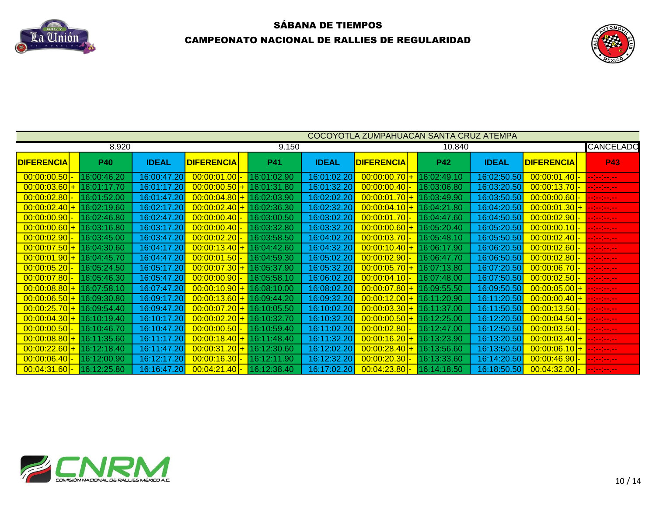



|                   |             |              |                    |             |              | COCOYOTLA ZUMPAHUACAN SANTA CRUZ ATEMPA |             |              |                   |                     |
|-------------------|-------------|--------------|--------------------|-------------|--------------|-----------------------------------------|-------------|--------------|-------------------|---------------------|
|                   | 8.920       |              |                    | 9.150       |              |                                         | 10.840      |              |                   | <b>CANCELADO</b>    |
| <b>DIFERENCIA</b> | <b>P40</b>  | <b>IDEAL</b> | <b>DIFERENCIA</b>  | <b>P41</b>  | <b>IDEAL</b> | <b>DIFERENCIA</b>                       | <b>P42</b>  | <b>IDEAL</b> | <b>DIFERENCIA</b> | <b>P43</b>          |
| 00:00:00.50       | 16:00:46.20 | 16:00:47.20  | 00:00:01.00        | 16:01:02.90 | 16:01:02.20  | $00:00:00.70$ +                         | 16:02:49.10 | 16:02:50.50  | $00:00:01.40$ -   | سترسم ومراسم        |
| $00:00:03.60$ +   | 16:01:17.70 | 16:01:17.20  | 00:00:00.50        | 16:01:31.80 | 16:01:32.20  | [00:00:00.40]                           | 16:03:06.80 | 16:03:20.50  | $00:00:13.70$ -   | ومرامين متراميا     |
| 00:00:02.80       | 16:01:52.00 | 16:01:47.20  | 00:00:04.80<br>$+$ | 16:02:03.90 | 16:02:02.20  | $00:00:01.70$ + 16:03:49.90             |             | 16:03:50.50  | $00:00:00.60$ -   | ومعرضه ومنزعه       |
| $00:00:02.40$ +   | 16:02:19.60 | 16:02:17.20  | 00:00:02.40        | 16:02:36.30 | 16:02:32.20  | $00:00:04.10$ <sup>+</sup>              | 16:04:21.80 | 16:04:20.50  | $00:00:01.30$ +   | المسرسم ومساومه     |
| 00:00:00.90       | 16:02:46.80 | 16:02:47.20  | 00:00:00.40        | 16:03:00.50 | 16:03:02.20  | $00:00:01.70$ -                         | 16:04:47.60 | 16:04:50.50  | [00:00:02.90]     |                     |
| $00:00:00.60$ +   | 16:03:16.80 | 16:03:17.20  | 00:00:00.40        | 16:03:32.80 | 16:03:32.20  | $ 00:00:00.60 + $                       | 16:05:20.40 | 16:05:20.50  | [00:00:00.10]     | المسترجعة والمتراجة |
| 00:00:02.90       | 16:03:45.00 | 16:03:47.20  | 00:00:02.20        | 16:03:58.50 | 16:04:02.20  | $ 00:00:03.70 $ -                       | 16:05:48.10 | 16:05:50.50  | [00:00:02.40]     | en bestemmen        |
| $00:00:07.50$ +   | 16:04:30.60 | 16:04:17.20  | 00:00:13.40<br>$+$ | 16:04:42.60 | 16:04:32.20  | $00:00:10.401+$                         | 16:06:17.90 | 16:06:20.50  | [00:00:02.60]     | المسرمين مترامي     |
| $00:00:01.90$ +   | 16:04:45.70 | 16:04:47.20  | 00:00:01.50        | 16:04:59.30 | 16:05:02.20  | $00:00:02.90$ -                         | 16:06:47.70 | 16:06:50.50  | [00:00:02.80]     | المسرمين مترمي      |
| 00:00:05.20       | 16:05:24.50 | 16:05:17.20  | 00:00:07.30<br>$+$ | 16:05:37.90 | 16:05:32.20  | $00:00:05.70$ +                         | 16:07:13.80 | 16:07:20.50  | $00:00:06.70$ -   | مسرمين مسترمي       |
| [00:00:07.80]     | 16:05:46.30 | 16:05:47.20  | 00:00:00.90        | 16:05:58.10 | 16:06:02.20  | $00:00:04.10$ -                         | 16:07:48.00 | 16:07:50.50  | $00:00:02.50$ .   | ومعارضه ومناسب      |
| $00:00:08.80$ +   | 16:07:58.10 | 16:07:47.20  | 00:00:10.90<br>$+$ | 16:08:10.00 | 16:08:02.20  | $00:00:07.80$ + 16:09:55.50             |             | 16:09:50.50  | $00:00:05.00$ +   | سترسخ سترسد         |
| $00:00:06.50$ +   | 16:09:30.80 | 16:09:17.20  | 00:00:13.60<br>$+$ | 16:09:44.20 | 16:09:32.20  | $00:00:12.00$ +                         | 16:11:20.90 | 16:11:20.50  | $00:00:00.40$ +   | an an an an         |
| $00:00:25.70$ +   | 16:09:54.40 | 16:09:47.20  | 00:00:07.20<br>$+$ | 16:10:05.50 | 16:10:02.20  | $00:00:03.30$ +                         | 16:11:37.00 | 16:11:50.50  | $00:00:13.50$ -   | ومعارضه ومناسب      |
| $00:00:04.30$ +   | 16:10:19.40 | 16:10:17.20  | 00:00:02.20        | 16:10:32.70 | 16:10:32.20  | $00:00:00.50$ +                         | 16:12:25.00 | 16:12:20.50  | $00:00:04.50$ +   | en jarojno jaro     |
| 00:00:00.50       | 16:10:46.70 | 16:10:47.20  | 00:00:00.50        | 16:10:59.40 | 16:11:02.20  | [00:00:02.80]                           | 16:12:47.00 | 16:12:50.50  | $00:00:03.50$ -   | en bestemmen        |
| $00:00:08.80$ +   | 16:11:35.60 | 16:11:17.20  | 00:00:18.40        | 16:11:48.40 | 16:11:32.20  | $00:00:16.20$ +                         | 16:13:23.90 | 16:13:20.50  | $00:00:03.40$ +   | المعرضة إحداثه      |
| $00:00:22.60+$    | 16:12:18.40 | 16:11:47.20  | 00:00:31.20<br>$+$ | 16:12:30.60 | 16:12:02.20  | $00:00:28.40$ +                         | 16:13:56.60 | 16:13:50.50  | $00:00:06.10$ +   | en jarojno jaro     |
| 00:00:06.40       | 16:12:00.90 | 16:12:17.20  | 00:00:16.30        | 16:12:11.90 | 16:12:32.20  | 00:00:20.30                             | 16:13:33.60 | 16:14:20.50  | 00:00:46.90       |                     |
| $00:04:31.60$ -   | 16:12:25.80 | 16:16:47.20  | 00:04:21.40        | 16:12:38.40 | 16:17:02.20  | $00:04:23.80$ -                         | 16:14:18.50 | 16:18:50.50  | $00:04:32.00$ -   | an bailean an p     |

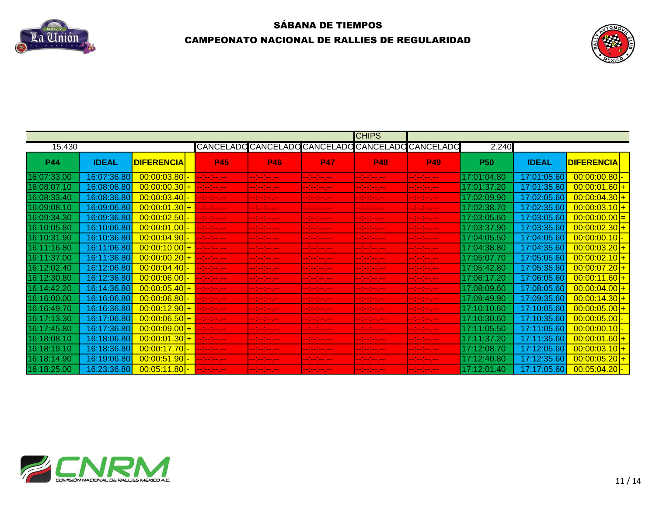



|            |              |                                                               |                                    |                                     |                                                   | <b>CHIPS</b>                                                                                                                                                                                                                         |                                                                                                        |                      |              |                          |
|------------|--------------|---------------------------------------------------------------|------------------------------------|-------------------------------------|---------------------------------------------------|--------------------------------------------------------------------------------------------------------------------------------------------------------------------------------------------------------------------------------------|--------------------------------------------------------------------------------------------------------|----------------------|--------------|--------------------------|
| 15.430     |              |                                                               |                                    |                                     | CANCELADO CANCELADO CANCELADO CANCELADO CANCELADO |                                                                                                                                                                                                                                      |                                                                                                        | 2.240                |              |                          |
| <b>P44</b> | <b>IDEAL</b> | <b>DIFERENCIA</b>                                             | <b>P45</b>                         | <b>P46</b>                          | <b>P47</b>                                        | <b>P48</b>                                                                                                                                                                                                                           | <b>P49</b>                                                                                             | <b>P50</b>           | <b>IDEAL</b> | <b>DIFERENCIA</b>        |
| 3:07:33.00 |              | $00:00:03.80$ -                                               | المستوفية والمتواطن                | <b>The Contract of State</b>        | <b>Contract Contract Contract</b>                 | <b>Continued by the Continued State</b>                                                                                                                                                                                              | <b>Continued by Service</b>                                                                            | 7:01:04.80           |              |                          |
|            | 16:08:06.8   |                                                               |                                    | والمسترجعة ومعارضها                 | -- (-- (-- ) -- (-)                               | <b>Continued for the Continued State</b>                                                                                                                                                                                             | $\mathcal{L} = \{ \mathcal{L} \mid \mathcal{L} = \mathcal{L} \}$ and $\mathcal{L} = \{ \mathcal{L} \}$ | $^{\prime}:01:37.20$ | 17:01:35.60  |                          |
| 3:08:33.40 |              |                                                               |                                    | <b>Allian</b>                       | <b>Contract Contract Contract</b>                 | <b>Section Advised Section</b>                                                                                                                                                                                                       | <b>Contract Contract Contract</b>                                                                      |                      | 17:02:05.    |                          |
| 6:09:08.1  | 16:09:06.8   |                                                               |                                    | <b>The Contract of State</b>        | 1000 - 1000 - 1000                                | والمستوسم والمتواصل                                                                                                                                                                                                                  | <b>Continued for the Continued State</b>                                                               | 7:02:38.70           | 17:02:35.60  |                          |
| 6:09:34.30 |              | $00:00:02.50$ -                                               | <b>Continued and Service</b>       | <b>The Company and</b>              | 1000 - 1000 - 1000 - 1000                         | <b>The community</b>                                                                                                                                                                                                                 | <b>Contract Avenue</b>                                                                                 | 1:03:05.60           | 17:03:05.    | 0 <mark>0:00:00.0</mark> |
| :10:05.8   |              | $\left  \begin{array}{c c} 00:00:01.00 \end{array} \right $ - | المستحدث والمستحدث                 | <b>The Secretary Control</b>        | <b>The Secretary Control</b>                      | <b>The Secret Contract Contract</b>                                                                                                                                                                                                  | <b>Continued States</b>                                                                                | 1:03:37.90           | 17:03:35.60  |                          |
| 3:10:31.9  | 16:10:36.    | $00:00:04.90$ -                                               | المستوفية والمسترد                 | <b>Contract Contract Contract</b>   | والمستوسم ومعارضها                                | المستوسط والمستوسط                                                                                                                                                                                                                   | and the company                                                                                        | 7:04:05.50           |              |                          |
| :11:16.8   |              |                                                               |                                    | <b>Continued and Continued Inc.</b> | <b>Continued and Continued State</b>              | <b>The Secret Contract Contract</b>                                                                                                                                                                                                  | <b>Continued State State</b>                                                                           | 7:04:38.             |              |                          |
|            |              | $00:00:00.20$ + $    -$                                       |                                    | <b>The Secretary Control</b>        | <b>The Secretary Control</b>                      | <b>Service Commercial</b>                                                                                                                                                                                                            | <b>Continued and Continued Inc.</b>                                                                    |                      |              |                          |
| 3:12:02.40 | 16.12.06     | $[00:00:04.40]$ -                                             | المستحدث                           | <b>Continued and Continued Inc.</b> | <b>Contract Contract Contract</b>                 | <b>Contract Contract Contract</b>                                                                                                                                                                                                    | والمستوفي والمستحقق                                                                                    | 7:05:42.80           | 17:05:35.6   |                          |
| :12:30.8   |              |                                                               |                                    | المستوسط والمستروسة والمستر         | <b>Service Service</b>                            | <b>Continued from the Continued State</b>                                                                                                                                                                                            | <b>Contract And Service</b>                                                                            | 7:06:17.20           |              | 00:00:11.60              |
| 6:14:42.20 |              | $00:00:05.40$ + $-$                                           | والمستحدث والمتناو                 | <b>The Contract of Contract</b>     | <b>The Secret Contract Contract</b>               | <b>The Secret Contract Contract</b>                                                                                                                                                                                                  | <b>Continued State State</b>                                                                           |                      |              |                          |
| 6:16:00.00 | 16:16:06.8   |                                                               |                                    | <b>All Mayor</b>                    | المستوفي والمستردد                                | <b>Continued for the Continued State</b>                                                                                                                                                                                             | and the same state.                                                                                    | 7:09:49.90           | 17:09:35.60  | 00:00:14.30              |
| 3:16:49.7  |              | 00:00:12.90 + ---------                                       |                                    | <b>Contract And Service</b>         | <b>The Secretary Control</b>                      | <b>The Common Service</b>                                                                                                                                                                                                            | <b>Continued and Continued In the Continued Inc.</b>                                                   | 7:10:10.60           | 17:10:05.    |                          |
| 6:17:13.30 |              | $ 00:00:06.50 + $                                             | والمستحدث والمتناء                 | <b>The Company and</b>              | <b>Contract Contract Contract</b>                 | <b>Service Service</b>                                                                                                                                                                                                               |                                                                                                        | 7:10:30.60           |              |                          |
| 6:17:45.8  | 16:17:36     | $00:00:09.00$ + -                                             | <b>Continued by Continued Bank</b> | <b>Service Service</b>              | <b>The Continued State</b>                        | <b>The community</b>                                                                                                                                                                                                                 | <b>Contract Contract</b>                                                                               | 7:11:05.50           |              |                          |
|            |              | $00:00:01.30$ +                                               | المستحدث                           | <b>Section Contracts</b>            | <b>Service Service</b>                            | <b>The Secret Contract of the Secret Contract Contract Contract Contract Contract Contract Contract Contract Contract Contract Contract Contract Contract Contract Contract Contract Contract Contract Contract Contract Contrac</b> | <b>Continued and Continued In the Continued Inc.</b>                                                   | 7:11:37.20           | 17:11:35.    |                          |
| 3:18:19.1  |              | $00:00:17.70$ -                                               | المستحدث والمسترد                  | $-1 - 1 - 1 - 1 = 0$                | <b>Contract Contract Contract</b>                 | <b>Service Service</b>                                                                                                                                                                                                               | and the property of                                                                                    | 7:12:08.70           | 17:12:05.6   | 00:00:03.10              |
| 6:18:14.90 |              | $00:00:51.90$ -                                               | المستحدث والمسترد                  | and the first state.                |                                                   | ________                                                                                                                                                                                                                             | the company of the company                                                                             | 7:12:40.80           | 17:12:35.6   | 00:00:05.20              |
| 6:18:25.00 |              | 00:05:11.80 <mark>- -------------</mark>                      |                                    | <b>The Continue of the Continue</b> | <b>Service Commercial</b>                         | <u> 1996 - 1996 - 1996 - 1997 - 1998 - 1999 - 1999 - 1999 - 1999 - 1999 - 1999 - 1999 - 1999 - 1999 - 1999 - 1999 - 1999 - 1999 - 1999 - 1999 - 1999 - 1999 - 1999 - 1999 - 1999 - 1999 - 1999 - 1999 - 1999 - 1999 - 1999 - 199</u> | <b>Service Service</b>                                                                                 | 7:12:01.40           |              |                          |

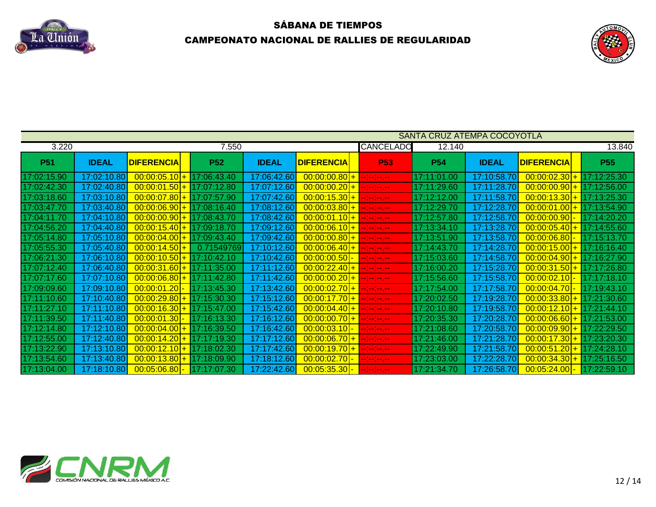



|             |              |                   |                             |              |                   |                                                   | SANTA CRUZ ATEMPA COCOYOTLA |              |                   |             |
|-------------|--------------|-------------------|-----------------------------|--------------|-------------------|---------------------------------------------------|-----------------------------|--------------|-------------------|-------------|
| 3.220       |              |                   | 7.550                       |              |                   | CANCELADO                                         | 12.140                      |              |                   | 13.840      |
| <b>P51</b>  | <b>IDEAL</b> | <b>DIFERENCIA</b> | <b>P52</b>                  | <b>IDEAL</b> | <b>DIFERENCIA</b> | <b>P53</b>                                        | <b>P54</b>                  | <b>IDEAL</b> | <b>DIFERENCIA</b> | <b>P55</b>  |
| 17:02:15.90 | 17:02:10.80  |                   | $00:00:05.10$ + 17:06:43.40 | 17:06:42.60  | $00:00:00.80$ +   | <b>Contractor</b>                                 | 17:11:01.00                 | 17:10:58.70  | $00:00:02.30$ +   | 17:12:25.30 |
| 17:02:42.30 | 17:02:40.80  | $00:00:01.50$ +   | 17:07:12.80                 | 17:07:12.60  | $00:00:00.20$ +   | <b>Contract Contract</b>                          | 17:11:29.60                 | 17:11:28.70  | $00:00:00.90$ +   | 17:12:56.00 |
| 17:03:18.60 | 17:03:10.80  | $00:00:07.80$ +   | 17:07:57.90                 | 17:07:42.60  | $00:00:15.30$ +   | $    -$                                           | 17:12:12.00                 | 17:11:58.70  | $00:00:13.30$ +   | 17:13:25.30 |
| 17:03:47.70 | 17:03:40.80  |                   | $00:00:06.90$ + 17:08:16.40 | 17:08:12.60  | $00:00:03.80$ +   | <b>Contract Contract</b>                          | 17:12:29.70                 | 17:12:28.70  | $00:00:01.001+$   | 17:13:54.90 |
| 17:04:11.70 | 17:04:10.80  | $ 00:00:00.90 + $ | 17:08:43.70                 | 17:08:42.60  | $00:00:01.10$ +   | ومحاملتهم                                         | 17:12:57.80                 | 17:12:58.70  | $00:00:00.90$ -   | 17:14:20.20 |
| 17:04:56.20 | 17:04:40.80  |                   | $00:00:15.40$ + 17:09:18.70 | 17:09:12.60  | $00:00:06.10$ +   | ومحاملته ومناسب                                   | 17:13:34.10                 | 17:13:28.70  | $00:00:05.40$ +   | 17:14:55.60 |
| 17:05:14.80 | 17:05:10.80  | $00:00:04.00$ +   | 117:09:43.40                | 17:09:42.60  | $00:00:00.80$ +   | en jarojan jaro                                   | 17:13:51.90                 | 17:13:58.70  | $00:00:06.80$ -   | 17:15:13.70 |
| 17:05:55.30 | 17:05:40.80  | $00:00:14.50+$    | 0.71549769                  | 17:10:12.60  | $00:00:06.40$ +   | $\sim$ $  -$                                      | 17:14:43.70                 | 17:14:28.70  | $00:00:15.00$ +   | 17:16:16.40 |
| 17:06:21.30 | 17:06:10.80  |                   | $00:00:10.50$ + 17:10:42.10 | 17:10:42.60  | $00:00:00.50$ -   | المسرومة إلماء إلماء                              | 17:15:03.60                 | 17:14:58.70  | $00:00:04.90$ +   | 17:16:27.90 |
| 17:07:12.40 | 17:06:40.80  |                   | $00:00:31.60$ + 17:11:35.00 | 17:11:12.60  | $00:00:22.40$ +   | <b>Contractor</b>                                 | 17:16:00.20                 | 17:15:28.70  | $00:00:31.50$ +   | 17:17:26.80 |
| 17:07:17.60 | 17:07:10.80  | $00:00:06.80$ +   | 17:11:42.80                 | 17:11:42.60  | $00:00:00.20$ +   | <b>Service Service</b>                            | 17:15:56.60                 | 17:15:58.70  | $00:00:02.10$ -   | 17:17:18.10 |
| 17:09:09.60 | 17:09:10.80  | $00:00:01.20$ -   | 17:13:45.30                 | 17:13:42.60  | $00:00:02.70$ +   | $    -$                                           | 17:17:54.00                 | 17:17:58.70  | $00:00:04.70$ -   | 17:19:43.10 |
| 17:11:10.60 | 17:10:40.80  |                   | $00:00:29.80$ + 17:15:30.30 | 17:15:12.60  | $00:00:17.70$ +   | $\frac{1}{2}$ and $\frac{1}{2}$ and $\frac{1}{2}$ | 17:20:02.50                 | 17:19:28.70  | $00:00:33.80$ +   | 17:21:30.60 |
| 17:11:27.10 | 17:11:10.80  | $00:00:16.30$ +   | 17:15:47.00                 | 17:15:42.60  | $00:00:04.40$ +   | المسرسم ومسارمته                                  | 17:20:10.80                 | 17:19:58.70  | $00:00:12.10$ +   | 17:21:44.10 |
| 17:11:39.50 | 17:11:40.80  | $00:00:01.30$ -   | 117:16:13.30                | 17:16:12.60  | $00:00:00.70$ +   | المسترسم والمتواصد                                | 17:20:35.30                 | 17:20:28.70  | $00:00:06.60$ +   | 17:21:53.00 |
| 17:12:14.80 | 17:12:10.80  | $00:00:04.00$ +   | 17:16:39.50                 | 17:16:42.60  | $00:00:03.10$ -   | <u>en en en en</u>                                | 17:21:08.60                 | 17:20:58.70  | $00:00:09.90$ +   | 17:22:29.50 |
| 17:12:55.00 | 17:12:40.80  | $00:00:14.20$ +   | 17:17:19.30                 | 17:17:12.60  | $00:00:06.70$ +   | ومحاملته والمتناسب                                | 17:21:46.00                 | 17:21:28.70  | $00:00:17.30$ +   | 17:23:20.30 |
| 17:13:22.90 | 17:13:10.80  | $00:00:12.10$ +   | 17:18:02.30                 | 17:17:42.60  | $00:00:19.70$ +   | -- 1-- 1-- 1--                                    | 17:22:49.90                 | 17:21:58.70  | $00:00:51.20$ +   | 17:24:28.10 |
| 17:13:54.60 | 17:13:40.80  | $00:00:13.80$ +   | 17:18:09.90                 | 17:18:12.60  | $00:00:02.70$ -   | بمعارضه ومناسب                                    | 17:23:03.00                 | 17:22:28.70  | $00:00:34.30+$    | 17:25:16.50 |
| 17:13:04.00 | 17:18:10.80  | $00:05:06.80$ -   | 17:17:07.30                 | 17:22:42.60  | $00:05:35.30$ -   | <b>Contractor</b>                                 | 17:21:34.70                 | 17:26:58.70  | $00:05:24.00$ -   | 17:22:59.10 |

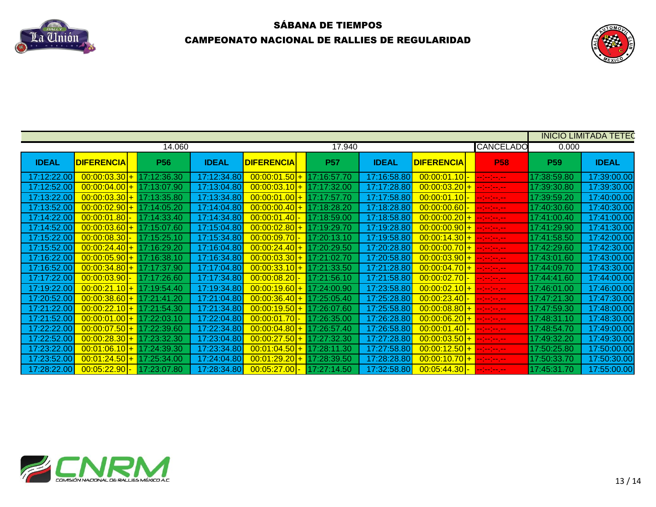



|                             |                                       |             |              |                             |             |              |                                 |                          |             | <b>INICIO LIMITADA TETEC</b> |
|-----------------------------|---------------------------------------|-------------|--------------|-----------------------------|-------------|--------------|---------------------------------|--------------------------|-------------|------------------------------|
|                             |                                       | 14.060      |              |                             | 17.940      |              |                                 | <b>CANCELADO</b>         | 0.000       |                              |
| <b>IDEAL</b>                | <b>DIFERENCIA</b>                     | <b>P56</b>  | <b>IDEAL</b> | <b>DIFERENCIA</b>           | <b>P57</b>  | <b>IDEAL</b> | <b>DIFERENCIA</b>               | <b>P58</b>               | <b>P59</b>  | <b>IDEAL</b>                 |
| 7:12:22.00                  | $\overline{00:00:03.30+}$ 17:12:36.30 |             | 17:12:34.80  | $00:00:01.50$ +             | 17:16:57.70 | 17:16:58.80  | 00:00:01.10 - --------          |                          | 17:38:59.80 | 17:39:00.00                  |
| 7:12:52.00                  | $00:00:04.00$ + 17:13:07.90           |             | 17:13:04.80  | 00:00:03.10                 | 17:17:32.00 | 17:17:28.80  | $00:00:03.20$ + $-:-:-$         |                          | 17:39:30.80 | 17:39:30.00                  |
|                             | $00:00:03.30+$                        | 17:13:35.80 | 17:13:34.80  | 00:00:01.00                 | 17:17:57.70 | 17:17:58.80  | $[00:00:01.10]$ -               | $-1 - 1 - 1 - 1 - 1$     | 17:39:59.20 | 17:40:00.00                  |
| 7:13:52.00                  | $00:00:02.90$ +                       | 17:14:05.20 | 17:14:04.80  | 00:00:00.40                 | 17:18:28.20 | 17:18:28.80  | $ 00:00:00.60 $ -               | $-1 - 1 - 1 - 1 - 1$     | 17:40:30.60 | 17:40:30.00                  |
| 7:14:22.00                  | $00:00:01.80$ .                       | 17:14:33.40 | 17:14:34.80  | 00:00:01.40                 | 17:18:59.00 | 17:18:58.80  | $00:00:00.20$ + $-:-:--$        |                          | 17:41:00.40 | 17:41:00.00                  |
| 7:14:52.00                  | $00:00:03.60$ +                       | 17:15:07.60 | 17:15:04.80  | 00:00:02.80                 | 17:19:29.70 | 17:19:28.80  | $00:00:00.90$ + $-:-:--$        |                          | 17:41:29.90 | 17:41:30.00                  |
| 7:15:22.00                  | 00:00:08.30 <mark> </mark> -          | 17:15:25.10 | 17:15:34.80  | 00:00:09.70                 | 17:20:13.10 | 17:19:58.80  | $ 00:00:14.30  +  --- $         |                          | 17:41:58.50 | 17:42:00.00                  |
| 17:15:52.00                 | $00:00:24.40$ + 17:16:29.20           |             | 17:16:04.80  | [00:00:24.40]               | 17:20:29.50 | 17:20:28.80  | $ 00:00:00.70 $ + $ $ --:--:--. |                          | 17:42:29.60 | 17:42:30.00                  |
| 17:16:22.00  <mark> </mark> | $00:00:05.90$ + 17:16:38.10           |             | 17:16:34.80  | $00:00:03.30$ + 17:21:02.70 |             | 17:20:58.80  | 00:00:03.90 + ---------         |                          | 17:43:01.60 | 17:43:00.00                  |
| 17:16:52.00 <mark> </mark>  | $00:00:34.80$ + 17:17:37.90           |             | 17:17:04.80  | $00:00:33.10$ + 17:21:33.50 |             | 17:21:28.80  | $00:00:04.70$ + $   -$          |                          | 17:44:09.70 | 17:43:30.00                  |
| 7:17:22.00                  | $00:00:03.90$ -                       | 17:17:26.60 | 17:17:34.80  | [00:00:08.20]               | 17:21:56.10 | 17:21:58.80  |                                 |                          | 17:44:41.60 | 17:44:00.00                  |
| 7:19:22.00                  | $00:00:21.10$ + 17:19:54.40           |             | 17:19:34.80  | 00:00:19.60                 | 17:24:00.90 | 17:23:58.80  | $00:00:02.10$ + $-:-:--$        |                          | 17:46:01.00 | 17:46:00.00                  |
| 7:20:52.00                  | $00:00:38.60$ + 17:21:41.20           |             | 17:21:04.80  | 00:00:36.40                 | 17:25:05.40 | 17:25:28.80  | 00:00:23.40 - --------          |                          | 17:47:21.30 | 17:47:30.00                  |
| 7:21:22.0                   | $00:00:22.10$ +                       | 17:21:54.30 | 17:21:34.80  | 00:00:19.50                 | 17:26:07.60 | 17:25:58.80  | $ 00:00:08.80 $ + --------      |                          | 17:47:59.30 | 17:48:00.00                  |
| 7:21:52.00                  | $00:00:01.00$ + 17:22:03.10           |             | 17:22:04.80  | 00:00:01.70                 | 17:26:35.00 | 17:26:28.80  | $00:00:06.20$ + $-:-:--$        |                          | 17:48:31.10 | 17:48:30.00                  |
| 7:22:22.00                  | $00:00:07.50$ +                       | 17:22:39.60 | 17:22:34.80  | 00:00:04.80                 | 17:26:57.40 | 17:26:58.80  | $[00:00:01.40]$ -               | <b>Industrial Action</b> | 17:48:54.70 | 17:49:00.00                  |
| 7:22:52.0                   | $00:00:28.30+$                        | 17:23:32.30 | 17:23:04.80  | 00:00:27.50                 | 17:27:32.30 | 17:27:28.80  | $00:00:03.50$ + $-:-:-$         |                          | 17:49:32.20 | 17:49:30.00                  |
| 7:23:22.00                  | $00:01:06.10$ +                       | 17:24:39.30 | 17:23:34.80  | 00:01:04.50                 | 17:28:11.30 | 17:27:58.80  | $ 00:00:12.50  +  --- $         |                          | 17:50:25.80 | 17:50:00.00                  |
| 7:23:52.00                  | $00:01:24.50+$                        | 17:25:34.00 | 17:24:04.80  | 00:01:29.20                 | 17:28:39.50 | 17:28:28.80  | $00:00:10.70$ + $-:-:--$        |                          | 17:50:33.70 | 17:50:30.00                  |
| 17:28:22.00                 | $ 00:05:22.90 $ -                     | 17:23:07.80 | 17:28:34.80  | 00:05:27.00 <mark>-</mark>  | 17:27:14.50 |              |                                 |                          | 17:45:31.70 | 17:55:00.00                  |